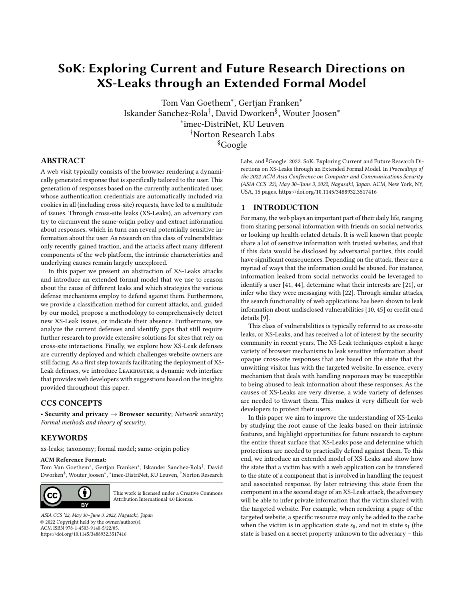# <span id="page-0-0"></span>SoK: Exploring Current and Future Research Directions on XS-Leaks through an Extended Formal Model

Tom Van Goethem<sup>∗</sup> , Gertjan Franken<sup>∗</sup> Iskander Sanchez-Rola† , David Dworken§ , Wouter Joosen<sup>∗</sup> ∗ imec-DistriNet, KU Leuven †Norton Research Labs §Google

# ABSTRACT

A web visit typically consists of the browser rendering a dynamically generated response that is specifically tailored to the user. This generation of responses based on the currently authenticated user, whose authentication credentials are automatically included via cookies in all (including cross-site) requests, have led to a multitude of issues. Through cross-site leaks (XS-Leaks), an adversary can try to circumvent the same-origin policy and extract information about responses, which in turn can reveal potentially sensitive information about the user. As research on this class of vulnerabilities only recently gained traction, and the attacks affect many different components of the web platform, the intrinsic characteristics and underlying causes remain largely unexplored.

In this paper we present an abstraction of XS-Leaks attacks and introduce an extended formal model that we use to reason about the cause of different leaks and which strategies the various defense mechanisms employ to defend against them. Furthermore, we provide a classification method for current attacks, and, guided by our model, propose a methodology to comprehensively detect new XS-Leak issues, or indicate their absence. Furthermore, we analyze the current defenses and identify gaps that still require further research to provide extensive solutions for sites that rely on cross-site interactions. Finally, we explore how XS-Leak defenses are currently deployed and which challenges website owners are still facing. As a first step towards facilitating the deployment of XS-Leak defenses, we introduce LEAKBUSTER, a dynamic web interface that provides web developers with suggestions based on the insights provided throughout this paper.

# CCS CONCEPTS

• Security and privacy  $\rightarrow$  Browser security; Network security; Formal methods and theory of security.

# **KEYWORDS**

xs-leaks; taxonomy; formal model; same-origin policy

#### ACM Reference Format:

Tom Van Goethem<sup>∗</sup> , Gertjan Franken<sup>∗</sup> , Iskander Sanchez-Rola† , David Dworken<sup>§</sup>, Wouter Joosen\*, \*imec-DistriNet, KU Leuven, <sup>†</sup>Norton Research



[This work is licensed under a Creative Commons](http://creativecommons.org/licenses/by/4.0/) [Attribution International 4.0 License.](http://creativecommons.org/licenses/by/4.0/)

ASIA CCS '22, May 30–June 3, 2022, Nagasaki, Japan © 2022 Copyright held by the owner/author(s). ACM ISBN 978-1-4503-9140-5/22/05. <https://doi.org/10.1145/3488932.3517416>

Labs, and <sup>§</sup>Google. 2022. SoK: Exploring Current and Future Research Directions on XS-Leaks through an Extended Formal Model. In Proceedings of the 2022 ACM Asia Conference on Computer and Communications Security (ASIA CCS '22), May 30–June 3, 2022, Nagasaki, Japan. ACM, New York, NY, USA, [15](#page-0-0) pages.<https://doi.org/10.1145/3488932.3517416>

# 1 INTRODUCTION

For many, the web plays an important part of their daily life, ranging from sharing personal information with friends on social networks, or looking up health-related details. It is well known that people share a lot of sensitive information with trusted websites, and that if this data would be disclosed by adversarial parties, this could have significant consequences. Depending on the attack, there are a myriad of ways that the information could be abused. For instance, information leaked from social networks could be leveraged to identify a user [\[41,](#page-12-0) [44\]](#page-12-1), determine what their interests are [\[21\]](#page-11-0), or infer who they were messaging with [\[22\]](#page-11-1). Through similar attacks, the search functionality of web applications has been shown to leak information about undisclosed vulnerabilities [\[10,](#page-11-2) [45\]](#page-12-2) or credit card details [\[9\]](#page-11-3).

This class of vulnerabilities is typically referred to as cross-site leaks, or XS-Leaks, and has received a lot of interest by the security community in recent years. The XS-Leak techniques exploit a large variety of browser mechanisms to leak sensitive information about opaque cross-site responses that are based on the state that the unwitting visitor has with the targeted website. In essence, every mechanism that deals with handling responses may be susceptible to being abused to leak information about these responses. As the causes of XS-Leaks are very diverse, a wide variety of defenses are needed to thwart them. This makes it very difficult for web developers to protect their users.

In this paper we aim to improve the understanding of XS-Leaks by studying the root cause of the leaks based on their intrinsic features, and highlight opportunities for future research to capture the entire threat surface that XS-Leaks pose and determine which protections are needed to practically defend against them. To this end, we introduce an extended model of XS-Leaks and show how the state that a victim has with a web application can be transfered to the state of a component that is involved in handling the request and associated response. By later retrieving this state from the component in a the second stage of an XS-Leak attack, the adversary will be able to infer private information that the victim shared with the targeted website. For example, when rendering a page of the targeted website, a specific resource may only be added to the cache when the victim is in application state  $s_0$ , and not in state  $s_1$  (the state is based on a secret property unknown to the adversary – this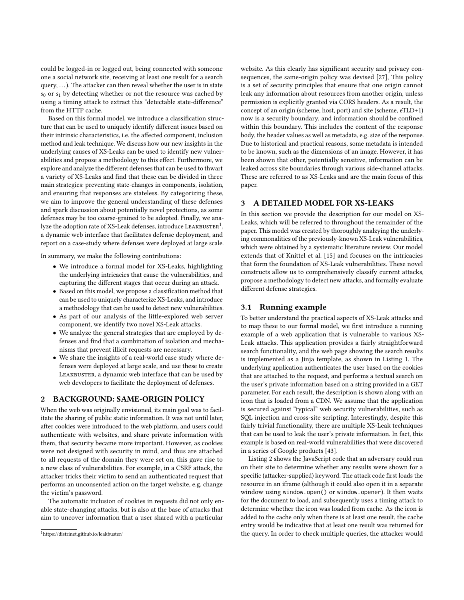could be logged-in or logged out, being connected with someone one a social network site, receiving at least one result for a search query, . . .). The attacker can then reveal whether the user is in state  $s_0$  or  $s_1$  by detecting whether or not the resource was cached by using a timing attack to extract this "detectable state-difference" from the HTTP cache.

Based on this formal model, we introduce a classification structure that can be used to uniquely identify different issues based on their intrinsic characteristics, i.e. the affected component, inclusion method and leak technique. We discuss how our new insights in the underlying causes of XS-Leaks can be used to identify new vulnerabilities and propose a methodology to this effect. Furthermore, we explore and analyze the different defenses that can be used to thwart a variety of XS-Leaks and find that these can be divided in three main strategies: preventing state-changes in components, isolation, and ensuring that responses are stateless. By categorizing these, we aim to improve the general understanding of these defenses and spark discussion about potentially novel protections, as some defenses may be too coarse-grained to be adopted. Finally, we analyze the adoption rate of XS-Leak defenses, introduce LEAKBUSTER $^1,$  $^1,$  $^1,$ a dynamic web interface that facilitates defense deployment, and report on a case-study where defenses were deployed at large scale.

In summary, we make the following contributions:

- We introduce a formal model for XS-Leaks, highlighting the underlying intricacies that cause the vulnerabilities, and capturing the different stages that occur during an attack.
- Based on this model, we propose a classification method that can be used to uniquely characterize XS-Leaks, and introduce a methodology that can be used to detect new vulnerabilities.
- As part of our analysis of the little-explored web server component, we identify two novel XS-Leak attacks.
- We analyze the general strategies that are employed by defenses and find that a combination of isolation and mechanisms that prevent illicit requests are necessary.
- We share the insights of a real-world case study where defenses were deployed at large scale, and use these to create LEAKBUSTER, a dynamic web interface that can be used by web developers to facilitate the deployment of defenses.

# 2 BACKGROUND: SAME-ORIGIN POLICY

When the web was originally envisioned, its main goal was to facilitate the sharing of public static information. It was not until later, after cookies were introduced to the web platform, and users could authenticate with websites, and share private information with them, that security became more important. However, as cookies were not designed with security in mind, and thus are attached to all requests of the domain they were set on, this gave rise to a new class of vulnerabilities. For example, in a CSRF attack, the attacker tricks their victim to send an authenticated request that performs an unconsented action on the target website, e.g. change the victim's password.

The automatic inclusion of cookies in requests did not only enable state-changing attacks, but is also at the base of attacks that aim to uncover information that a user shared with a particular

website. As this clearly has significant security and privacy consequences, the same-origin policy was devised [\[27\]](#page-11-4), This policy is a set of security principles that ensure that one origin cannot leak any information about resources from another origin, unless permission is explicitly granted via CORS headers. As a result, the concept of an origin (scheme, host, port) and site (scheme, eTLD+1) now is a security boundary, and information should be confined within this boundary. This includes the content of the response body, the header values as well as metadata, e.g. size of the response. Due to historical and practical reasons, some metadata is intended to be known, such as the dimensions of an image. However, it has been shown that other, potentially sensitive, information can be leaked across site boundaries through various side-channel attacks. These are referred to as XS-Leaks and are the main focus of this paper.

# <span id="page-1-1"></span>3 A DETAILED MODEL FOR XS-LEAKS

In this section we provide the description for our model on XS-Leaks, which will be referred to throughout the remainder of the paper. This model was created by thoroughly analzying the underlying commonalities of the previously-known XS-Leak vulnerabilities, which were obtained by a systematic literature review. Our model extends that of Knittel et al. [\[15\]](#page-11-5) and focuses on the intricacies that form the foundation of XS-Leak vulnerabilities. These novel constructs allow us to comprehensively classify current attacks, propose a methodology to detect new attacks, and formally evaluate different defense strategies.

#### 3.1 Running example

To better understand the practical aspects of XS-Leak attacks and to map these to our formal model, we first introduce a running example of a web application that is vulnerable to various XS-Leak attacks. This application provides a fairly straightforward search functionality, and the web page showing the search results is implemented as a Jinja template, as shown in Listing [1.](#page-2-0) The underlying application authenticates the user based on the cookies that are attached to the request, and performs a textual search on the user's private information based on a string provided in a GET parameter. For each result, the description is shown along with an icon that is loaded from a CDN. We assume that the application is secured against "typical" web security vulnerabilities, such as SQL injection and cross-site scripting. Interestingly, despite this fairly trivial functionality, there are multiple XS-Leak techniques that can be used to leak the user's private information. In fact, this example is based on real-world vulnerabilities that were discovered in a series of Google products [\[43\]](#page-12-3).

Listing [2](#page-2-1) shows the JavaScript code that an adversary could run on their site to determine whether any results were shown for a specific (attacker-supplied) keyword. The attack code first loads the resource in an iframe (although it could also open it in a separate window using window.open() or window.opener). It then waits for the document to load, and subsequently uses a timing attack to determine whether the icon was loaded from cache. As the icon is added to the cache only when there is at least one result, the cache entry would be indicative that at least one result was returned for the query. In order to check multiple queries, the attacker would

<span id="page-1-0"></span><sup>1</sup><https://distrinet.github.io/leakbuster/>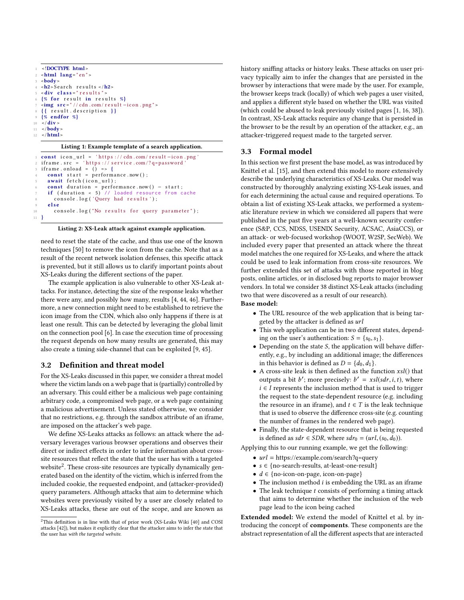```
1 <!DOCTYPE html>
 2 \timeshtml lang=" en " >
 3 <br/>body>
 4 <h2>Search results </h2>
   \lediv class = " r e sults" >
   \{ % for result in results % \}7 <img s r c = " / / cdn . com / r e s u l t −i c o n . png " >
   { {\} result . description { }9 {% endfor %}
10 \frac{\text{div}}{}11 < / body>
12 \leq / \text{html}
```
#### Listing 1: Example template of a search application.

```
1 const icon_url = 'https://cdn.com/result-icon.png
2 if rame . src = 'https : // service . com/? q=password
3 if rame . on load = (\bar{)} => {
     const start = performance.now();
     5 awa it f e t c h ( i c o n _ u r l ) ;
     const duration = performance.now() - start;
 if (duration < 5) // loaded resource from cache<br>8 console.log('Query had results');
     e l s e
10 console.log ("No results for query parameter");
11 }
```


need to reset the state of the cache, and thus use one of the known techniques [\[50\]](#page-12-4) to remove the icon from the cache. Note that as a result of the recent network isolation defenses, this specific attack is prevented, but it still allows us to clarify important points about XS-Leaks during the different sections of the paper.

The example application is also vulnerable to other XS-Leak attacks. For instance, detecting the size of the response leaks whether there were any, and possibly how many, results [\[4,](#page-11-6) [44,](#page-12-1) [46\]](#page-12-5). Furthermore, a new connection might need to be established to retrieve the icon image from the CDN, which also only happens if there is at least one result. This can be detected by leveraging the global limit on the connection pool [\[6\]](#page-11-7). In case the execution time of processing the request depends on how many results are generated, this may also create a timing side-channel that can be exploited [\[9,](#page-11-3) [45\]](#page-12-2).

# 3.2 Definition and threat model

For the XS-Leaks discussed in this paper, we consider a threat model where the victim lands on a web page that is (partially) controlled by an adversary. This could either be a malicious web page containing arbitrary code, a compromised web page, or a web page containing a malicious advertisement. Unless stated otherwise, we consider that no restrictions, e.g. through the sandbox attribute of an iframe, are imposed on the attacker's web page.

We define XS-Leaks attacks as follows: an attack where the adversary leverages various browser operations and observes their direct or indirect effects in order to infer information about crosssite resources that reflect the state that the user has with a targeted website<sup>[2](#page-2-2)</sup>. These cross-site resources are typically dynamically generated based on the identity of the victim, which is inferred from the included cookie, the requested endpoint, and (attacker-provided) query parameters. Although attacks that aim to determine which websites were previously visited by a user are closely related to XS-Leaks attacks, these are out of the scope, and are known as

history sniffing attacks or history leaks. These attacks on user privacy typically aim to infer the changes that are persisted in the browser by interactions that were made by the user. For example, the browser keeps track (locally) of which web pages a user visited, and applies a different style based on whether the URL was visited (which could be abused to leak previously visited pages [\[1,](#page-11-8) [16,](#page-11-9) [38\]](#page-12-8)). In contrast, XS-Leak attacks require any change that is persisted in the browser to be the result by an operation of the attacker, e.g., an attacker-triggered request made to the targeted server.

#### 3.3 Formal model

In this section we first present the base model, as was introduced by Knittel et al. [\[15\]](#page-11-5), and then extend this model to more extensively describe the underlying characteristics of XS-Leaks. Our model was constructed by thoroughly analyzing existing XS-Leak issues, and for each determining the actual cause and required operations. To obtain a list of existing XS-Leak attacks, we performed a systematic literature review in which we considered all papers that were published in the past five years at a well-known security conference (S&P, CCS, NDSS, USENIX Security, ACSAC, AsiaCCS), or an attack- or web-focused workshop (WOOT, W2SP, SecWeb). We included every paper that presented an attack where the threat model matches the one required for XS-Leaks, and where the attack could be used to leak information from cross-site resources. We further extended this set of attacks with those reported in blog posts, online articles, or in disclosed bug reports to major browser vendors. In total we consider 38 distinct XS-Leak attacks (including two that were discovered as a result of our research).

#### Base model:

- The URL resource of the web application that is being targeted by the attacker is defined as url
- This web application can be in two different states, depending on the user's authentication:  $S = \{s_0, s_1\}.$
- $\bullet$  Depending on the state S, the application will behave differently, e.g., by including an additional image; the differences in this behavior is defined as  $D = \{d_0, d_1\}.$
- A cross-site leak is then defined as the function  $xsl()$  that outputs a bit b'; more precisely:  $b' = xsl(sdr, i, t)$ , where  $i \in I$  represents the inclusion method that is used to trigger  $i \in I$  represents the inclusion method that is used to trigger the request to the state-dependent resource (e.g. including the resource in an iframe), and  $t \in T$  is the leak technique that is used to observe the difference cross-site (e.g. counting the number of frames in the rendered web page).
- Finally, the state-dependent resource that is being requested is defined as  $sdr \in SDR$ , where  $sdr_0 = (url, (s_0, d_0))$ .

Applying this to our running example, we get the following:

- $url = \frac{https://example.com/search?q=query}{}$
- s ∈ {no-search-results, at-least-one-result}
- $d \in \{no\text{-}icon\text{-}on\text{-}page, icon\text{-}on\text{-}page\}$
- $\bullet$  The inclusion method  $i$  is embedding the URL as an iframe
- $\bullet$  The leak technique  $t$  consists of performing a timing attack that aims to determine whether the inclusion of the web page lead to the icon being cached

Extended model: We extend the model of Knittel et al. by introducing the concept of components. These components are the abstract representation of all the different aspects that are interacted

<span id="page-2-2"></span><sup>2</sup>This definition is in line with that of prior work (XS-Leaks Wiki [\[40\]](#page-12-6) and COSI attacks [\[42\]](#page-12-7)), but makes it explicitly clear that the attacker aims to infer the state that the user has with the targeted website.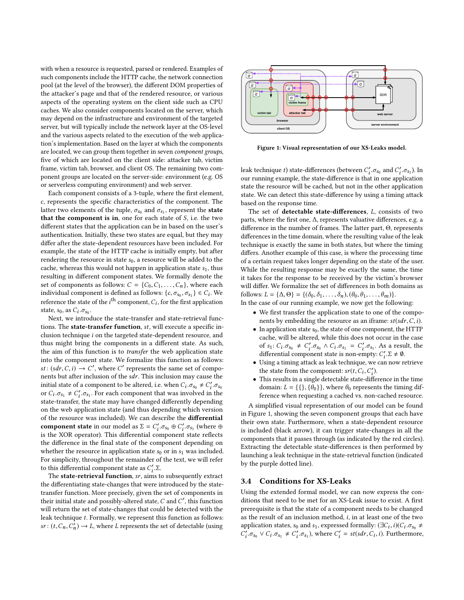with when a resource is requested, parsed or rendered. Examples of such components include the HTTP cache, the network connection pool (at the level of the browser), the different DOM properties of the attacker's page and that of the rendered resource, or various aspects of the operating system on the client side such as CPU caches. We also consider components located on the server, which may depend on the infrastructure and environment of the targeted server, but will typically include the network layer at the OS-level and the various aspects related to the execution of the web application's implementation. Based on the layer at which the components are located, we can group them together in seven component groups, five of which are located on the client side: attacker tab, victim frame, victim tab, browser, and client OS. The remaining two component groups are located on the server-side: environment (e.g. OS or serverless computing environment) and web server.

Each component consists of a 3-tuple, where the first element, c, represents the specific characteristics of the component. The latter two elements of the tuple,  $\sigma_{s_0}$  and  $\sigma_{s_1}$ , represent the **state**<br>that the component is in one for each state of S i.e. the two that the component is in, one for each state of  $S$ , i.e. the two different states that the application can be in based on the user's authentication. Initially, these two states are equal, but they may differ after the state-dependent resources have been included. For example, the state of the HTTP cache is initially empty, but after rendering the resource in state  $s_0$ , a resource will be added to the cache, whereas this would not happen in application state  $s<sub>1</sub>$ , thus resulting in different component states. We formally denote the set of components as follows:  $C = \{C_0, C_1, \ldots, C_n\}$ , where each individual component is defined as follows:  $\{c, \sigma_{s_0}, \sigma_{s_1}\} \in C_i$ . We<br>reference the state of the i<sup>th</sup> component  $C$ , for the first emplication reference the state of the *i*<sup>th</sup> component,  $C_i$ , for the first application<br>state  $S_2$ , as  $C_1$ ,  $\sigma$ state,  $s_0$ , as  $C_i \cdot \sigma_{s_0}$ .<br>Next, we introd

te, s<sub>0</sub>, as c<sub>*i.σs*<sub>0</sub>.<br>Next, we introduce the state-transfer and state-retrieval func-</sub> tions. The state-transfer function, st, will execute a specific inclusion technique i on the targeted state-dependent resource, and thus might bring the components in a different state. As such, the aim of this function is to transfer the web application state into the component state. We formalize this function as follows: st:  $(sdr, C, i) \rightarrow C'$ , where C' represents the same set of components but after inclusion of the sdr. This inclusion may cause the nents but after inclusion of the  $sdr$ . This inclusion may cause the initial state of a component to be altered, i.e. when  $C_i$ ,  $\sigma_{s_0} \neq C'_i$ ,  $\sigma_{s_0}$ <br>or  $C_i \sigma_{s_0} \neq C'_i \sigma_{s_0}$ . For each component that was involved in the or  $C_i$ ,  $\sigma_{s_1} \neq C'_i$ ,  $\sigma_{s_1}$ . For each component that was involved in the state-transfer, the state may have changed differently depending on the web application state (and thus depending which version of the resource was included). We can describe the differential **component state** in our model as  $\Sigma = C'_i \sigma_{s_0} \oplus C'_i \sigma_{s_1}$  (where  $\oplus$ <br>is the YOP operator). This differential component state reflects is the XOR operator). This differential component state reflects the difference in the final state of the component depending on whether the resource in application state  $s_0$  or in  $s_1$  was included. For simplicity, throughout the remainder of the text, we will refer to this differential component state as  $C'_i$ .  $\Sigma$ .<br>The state-retrieval function sr aims to

The state-retrieval function, sr, aims to subsequently extract the differentiating state-changes that were introduced by the statetransfer function. More precisely, given the set of components in their initial state and possibly-altered state,  $C$  and  $C'$ , this function<br>will return the set of state-changes that could be detected with the will return the set of state-changes that could be detected with the leak technique t. Formally, we represent this function as follows:  $sr: (t, C_n, C_n) \to L$ , where L represents the set of detectable (using

<span id="page-3-0"></span>

Figure 1: Visual representation of our XS-Leaks model.

leak technique t) state-differences (between  $C'_i$ ,  $\sigma_{s_0}$  and  $C'_i$ ,  $\sigma_{s_1}$ ). In our running example, the state-difference is that in one application state the resource will be cached, but not in the other application state. We can detect this state-difference by using a timing attack based on the response time.

The set of detectable state-differences, L, consists of two parts, where the first one, ∆, represents valuative differences, e.g. a difference in the number of frames. The latter part, Θ, represents differences in the time domain, where the resulting value of the leak technique is exactly the same in both states, but where the timing differs. Another example of this case, is where the processing time of a certain request takes longer depending on the state of the user. While the resulting response may be exactly the same, the time it takes for the response to be received by the victim's browser will differ. We formalize the set of differences in both domains as follows:  $L = {\Delta, \Theta} = {\hat{\sigma_0}, \delta_1, \ldots, \delta_n}, (\theta_0, \theta_1, \ldots, \theta_m)$ .

In the case of our running example, we now get the following:

- We first transfer the application state to one of the components by embedding the resource as an iframe:  $st(sdr, C, i)$ .
- In application state  $s_0$ , the state of one component, the HTTP cache, will be altered, while this does not occur in the case of  $s_1: C_i \text{.}\sigma_{s_0} \neq C'_i \text{.}\sigma_{s_0} \land C_i \text{.}\sigma_{s_1} = C'_i \text{.}\sigma_{s_1}$ . As a result, the differential component state is non-empty:  $C'_i \Sigma \neq \emptyset$ .<br>Using a timing attack as leak technique, we can now re
- Using a timing attack as leak technique, we can now retrieve the state from the component:  $sr(t, C_i, C'_i)$ .<br>This results in a single detectable state-different
- This results in a single detectable state-difference in the time domain:  $L = \{\{\}, \{\theta_0\}\}\$ , where  $\theta_0$  represents the timing difference when requesting a cached vs. non-cached resource.

A simplified visual representation of our model can be found in Figure [1,](#page-3-0) showing the seven component groups that each have their own state. Furthermore, when a state-dependent resource is included (black arrow), it can trigger state-changes in all the components that it passes through (as indicated by the red circles). Extracting the detectable state-differences is then performed by launching a leak technique in the state-retrieval function (indicated by the purple dotted line).

#### 3.4 Conditions for XS-Leaks

Using the extended formal model, we can now express the conditions that need to be met for an XS-Leak issue to exist. A first prerequisite is that the state of a component needs to be changed as the result of an inclusion method, i, in at least one of the two application states, s<sub>0</sub> and s<sub>1</sub>, expressed formally:  $(\exists C_i, i)(C_i, \sigma_{s_0} \neq C'_i \sigma_{s_0})$  where  $C' = st(\sigma dr, C_i, i)$  Eurthermore  $\hat{i}_i \cdot \sigma_{s_0} \vee C_i \cdot \sigma_{s_1} \neq C'_i \cdot \sigma_{s_1}$ , where  $C'_i = st(sdr, C_i, i)$ . Furthermore,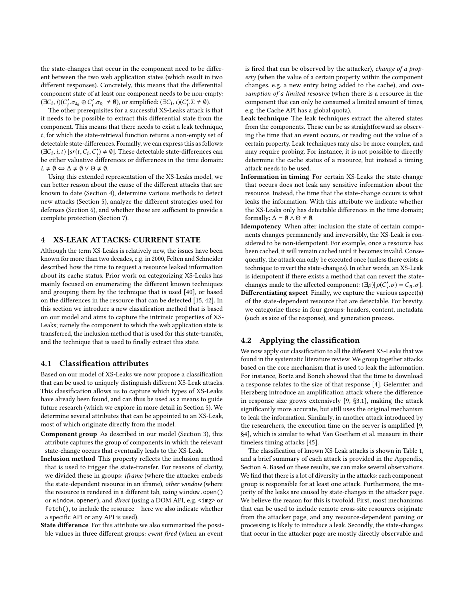the state-changes that occur in the component need to be different between the two web application states (which result in two different responses). Concretely, this means that the differential component state of at least one component needs to be non-empty:  $(\exists C_i, i)(C'_i \cdot \sigma_{s_0} \oplus C'_i \cdot \sigma_{s_1} \neq \emptyset)$ , or simplified:  $(\exists C_i, i)(C'_i \cdot \Sigma \neq \emptyset)$ .<br>The other prepanisites for a successful YS-Leaks attack is

The other prerequisites for a successful XS-Leaks attack is that it needs to be possible to extract this differential state from the component. This means that there needs to exist a leak technique, t, for which the state-retrieval function returns a non-empty set of detectable state-differences. Formally, we can express this as follows:  $(\exists C_i, i, t)$  [sr(t,  $C_i, C'_i \neq \emptyset$ ]. These detectable state-differences can<br>be either voluntive differences or differences in the time domain. be either valuative differences or differences in the time domain:  $L \neq \emptyset \Leftrightarrow \Delta \neq \emptyset \vee \Theta \neq \emptyset.$ 

Using this extended representation of the XS-Leaks model, we can better reason about the cause of the different attacks that are known to date (Section [4\)](#page-4-0), determine various methods to detect new attacks (Section [5\)](#page-6-0), analyze the different strategies used for defenses (Section [6\)](#page-7-0), and whether these are sufficient to provide a complete protection (Section [7\)](#page-8-0).

#### <span id="page-4-0"></span>4 XS-LEAK ATTACKS: CURRENT STATE

Although the term XS-Leaks is relatively new, the issues have been known for more than two decades, e.g. in 2000, Felten and Schneider described how the time to request a resource leaked information about its cache status. Prior work on categorizing XS-Leaks has mainly focused on enumerating the different known techniques and grouping them by the technique that is used [\[40\]](#page-12-6), or based on the differences in the resource that can be detected [\[15,](#page-11-5) [42\]](#page-12-7). In this section we introduce a new classification method that is based on our model and aims to capture the intrinsic properties of XS-Leaks; namely the component to which the web application state is transferred, the inclusion method that is used for this state-transfer, and the technique that is used to finally extract this state.

#### 4.1 Classification attributes

Based on our model of XS-Leaks we now propose a classification that can be used to uniquely distinguish different XS-Leak attacks. This classification allows us to capture which types of XS-Leaks have already been found, and can thus be used as a means to guide future research (which we explore in more detail in Section [5\)](#page-6-0). We determine several attributes that can be appointed to an XS-Leak, most of which originate directly from the model.

- Component group As described in our model (Section [3\)](#page-1-1), this attribute captures the group of components in which the relevant state-change occurs that eventually leads to the XS-Leak.
- Inclusion method This property reflects the inclusion method that is used to trigger the state-transfer. For reasons of clarity, we divided these in groups: iframe (where the attacker embeds the state-dependent resource in an iframe), other window (where the resource is rendered in a different tab, using window.open() or window.opener), and direct (using a DOM API, e.g. <img> or fetch(), to include the resource – here we also indicate whether a specific API or any API is used).
- State difference For this attribute we also summarized the possible values in three different groups: event fired (when an event

is fired that can be observed by the attacker), change of a property (when the value of a certain property within the component changes, e.g. a new entry being added to the cache), and consumption of a limited resource (when there is a resource in the component that can only be consumed a limited amount of times, e.g. the Cache API has a global quota).

- Leak technique The leak techniques extract the altered states from the components. These can be as straightforward as observing the time that an event occurs, or reading out the value of a certain property. Leak techniques may also be more complex, and may require probing. For instance, it is not possible to directly determine the cache status of a resource, but instead a timing attack needs to be used.
- Information in timing For certain XS-Leaks the state-change that occurs does not leak any sensitive information about the resource. Instead, the time that the state-change occurs is what leaks the information. With this attribute we indicate whether the XS-Leaks only has detectable differences in the time domain; formally:  $\Delta = \emptyset \wedge \Theta \neq \emptyset$ .
- Idempotency When after inclusion the state of certain components changes permanently and irreversibly, the XS-Leak is considered to be non-idempotent. For example, once a resource has been cached, it will remain cached until it becomes invalid. Consequently, the attack can only be executed once (unless there exists a technique to revert the state-changes). In other words, an XS-Leak is idempotent if there exists a method that can revert the statechanges made to the affected component:  $(\exists \rho)[\rho(C'_i, \sigma) = C_n, \sigma]$ .
- Differentiating aspect Finally, we capture the various aspect(s) of the state-dependent resource that are detectable. For brevity, we categorize these in four groups: headers, content, metadata (such as size of the response), and generation process.

# 4.2 Applying the classification

We now apply our classification to all the different XS-Leaks that we found in the systematic literature review. We group together attacks based on the core mechanism that is used to leak the information. For instance, Bortz and Boneh showed that the time to download a response relates to the size of that response [\[4\]](#page-11-6). Gelernter and Herzberg introduce an amplification attack where the difference in response size grows extensively [\[9,](#page-11-3) §3.1], making the attack significantly more accurate, but still uses the original mechanism to leak the information. Similarly, in another attack introduced by the researchers, the execution time on the server is amplified [\[9,](#page-11-3) §4], which is similar to what Van Goethem et al. measure in their timeless timing attacks [\[45\]](#page-12-2).

The classification of known XS-Leak attacks is shown in Table [1,](#page-5-0) and a brief summary of each attack is provided in the Appendix, Section [A.](#page-12-9) Based on these results, we can make several observations. We find that there is a lot of diversity in the attacks: each component group is responsible for at least one attack. Furthermore, the majority of the leaks are caused by state-changes in the attacker page. We believe the reason for this is twofold. First, most mechanisms that can be used to include remote cross-site resources originate from the attacker page, and any resource-dependent parsing or processing is likely to introduce a leak. Secondly, the state-changes that occur in the attacker page are mostly directly observable and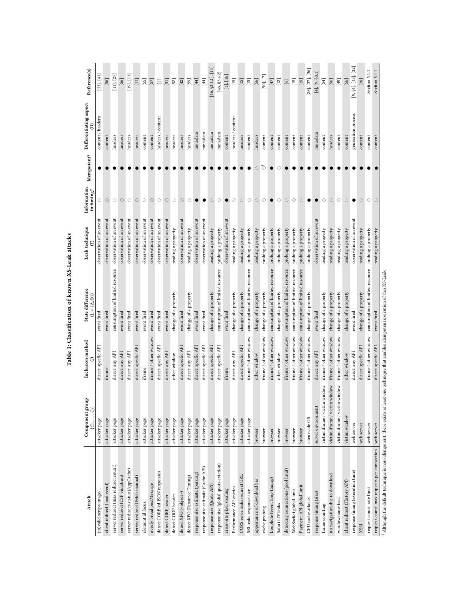<span id="page-5-0"></span>

| Attack                                                                                                                                  | Component group<br>$C_1, \ldots, C_l$ | Inclusion method             | State difference<br>$(L = {\Delta, \Theta})$ | Leak technique          | Information<br>in timing? | Idempotent? | Differentiating aspect<br>ê | Reference(s)                                                                                                                                                                                                                                                                                                                                                                                                                                                                                                                                                                                                                            |
|-----------------------------------------------------------------------------------------------------------------------------------------|---------------------------------------|------------------------------|----------------------------------------------|-------------------------|---------------------------|-------------|-----------------------------|-----------------------------------------------------------------------------------------------------------------------------------------------------------------------------------------------------------------------------------------------------------------------------------------------------------------------------------------------------------------------------------------------------------------------------------------------------------------------------------------------------------------------------------------------------------------------------------------------------------------------------------------|
| (in)valid script/image/                                                                                                                 | attacker page                         | direct: specfic API          | event fired                                  | observation of an event | $\circ$                   |             | content / headers           | [53], [41]                                                                                                                                                                                                                                                                                                                                                                                                                                                                                                                                                                                                                              |
| client redirect (load event)                                                                                                            | attacker page                         | iframe                       | event fired                                  | observation of an event | $\circ$                   |             | content                     | $[56]$                                                                                                                                                                                                                                                                                                                                                                                                                                                                                                                                                                                                                                  |
| server redirect (max redirect count)                                                                                                    | attacker page                         | direct: any API              | consumption of limited resource              | observation of an event | $\circ$                   |             | headers                     | $[11]$ , $[29]$                                                                                                                                                                                                                                                                                                                                                                                                                                                                                                                                                                                                                         |
| server redirect (CSP violation)                                                                                                         | attacker page                         | direct: any API              | event fired                                  | observation of an event | $\circ$                   |             | headers                     | $[56]$                                                                                                                                                                                                                                                                                                                                                                                                                                                                                                                                                                                                                                  |
| server redirect/status (AppCache)                                                                                                       | attacker page                         | direct: any API              | event fired                                  | observation of an event | $\circ$                   |             | headers                     | [19], [11]                                                                                                                                                                                                                                                                                                                                                                                                                                                                                                                                                                                                                              |
| server redirect (Fetch manual)                                                                                                          | attacker page                         | direct: specfic API          | event fired                                  | observation of an event | $\bigcirc$                |             | headers                     | $\Xi$                                                                                                                                                                                                                                                                                                                                                                                                                                                                                                                                                                                                                                   |
| element id focus                                                                                                                        | attacker page                         | $_{\rm frame}$               | event fired                                  | observation of an event | $\circ$                   |             | content                     | $[55]$                                                                                                                                                                                                                                                                                                                                                                                                                                                                                                                                                                                                                                  |
| overly broad postMessage                                                                                                                | attacker page                         | iframe / other window        | event fired                                  | observation of an event | $\circ$                   |             | content                     | $[57] \label{eq:57}$                                                                                                                                                                                                                                                                                                                                                                                                                                                                                                                                                                                                                    |
| detect CORB'ed JSON responses                                                                                                           | attacker page                         | direct: specfic API          | event fired                                  | observation of an event | $\circ$                   |             | headers / content           | $\boxed{2}$                                                                                                                                                                                                                                                                                                                                                                                                                                                                                                                                                                                                                             |
| detect CORP header                                                                                                                      | attacker page                         | direct: any API              | event fired                                  | observation of an event | $\bigcirc$                |             | headers                     | $\begin{bmatrix} 51 \end{bmatrix}$                                                                                                                                                                                                                                                                                                                                                                                                                                                                                                                                                                                                      |
| detect COOP header                                                                                                                      | attacker page                         | other window                 | change of a property                         | reading a property      | $\circlearrowright$       |             | headers                     | $[52]$                                                                                                                                                                                                                                                                                                                                                                                                                                                                                                                                                                                                                                  |
| detect XFO ( <object>)</object>                                                                                                         | attacker page                         | direct: specfic API          | event fired                                  | observation of an event | $\bigcirc$                |             | headers                     | $[42]$                                                                                                                                                                                                                                                                                                                                                                                                                                                                                                                                                                                                                                  |
| detect XFO (Resource Timing)                                                                                                            | attacker page                         | direct: any API              | change of a property                         | reading a property      | $\circ$                   |             | headers                     | $[59]$                                                                                                                                                                                                                                                                                                                                                                                                                                                                                                                                                                                                                                  |
| response size estimate (parsing)                                                                                                        | attacker page                         | direct: specfic API          | event fired                                  | observation of an event |                           |             | metadata                    | $[44]$                                                                                                                                                                                                                                                                                                                                                                                                                                                                                                                                                                                                                                  |
| response size estimate (Cache API)                                                                                                      | attacker page                         | direct: specfic API          | event fired                                  | observation of an event |                           |             | metadata                    | $[44]$                                                                                                                                                                                                                                                                                                                                                                                                                                                                                                                                                                                                                                  |
| response size (Quota API)                                                                                                               | attacker page                         | direct: specfic API          | change of a property                         | reading a property      | $\bigcirc$                |             | metadata                    | $[46, $3.4.1]$ , $[14]$                                                                                                                                                                                                                                                                                                                                                                                                                                                                                                                                                                                                                 |
| response size (global quota eviction)                                                                                                   | attacker page                         | direct: specfic API          | consumption of limited resource              | probing a property      | $\circ$                   |             | metadata                    | [46, \$3.4.2]                                                                                                                                                                                                                                                                                                                                                                                                                                                                                                                                                                                                                           |
| cross-site pixel stealing                                                                                                               | attacker page                         | $_{\rm{frame}}$              | event fired                                  | observation of an event |                           |             | content                     | $\left[ 1 \right]$ , $\left[ 16 \right]$                                                                                                                                                                                                                                                                                                                                                                                                                                                                                                                                                                                                |
| Performance API entries                                                                                                                 | attacker page                         | direct: any API              | change of a property                         | reading a property      | $\circ$                   |             | headers/content             | $[15]$                                                                                                                                                                                                                                                                                                                                                                                                                                                                                                                                                                                                                                  |
| CORS error leaks redirect URL                                                                                                           | attacker page                         | direct: specfic API          | change of a property                         | reading a property      | $\circ$                   |             | headers                     | $[15] \centering% \includegraphics[width=0.3\textwidth]{images/TrDiS-Architecture.png} \caption{The 3D (top) and the 4D (bottom) of the 3D (bottom) and the 4D (bottom) of the 3D (bottom) and the 4D (bottom) of the 3D (bottom). The 3D (bottom) and the 3D (bottom) of the 3D (bottom).} \label{fig:TrDiS-Architecture}$                                                                                                                                                                                                                                                                                                             |
| SRI leaks response size                                                                                                                 | attacker page                         | iframe / other window        | consumption of limited resource              | probing a property      | $\circ$                   |             | content                     | $[15] \centering% \includegraphics[width=1\textwidth]{images/TransY.pdf} \caption{The first two different values of the data set. The first two different values of the data set. The first two different values of the data set. The first two different values of the data set. The second two different values of the data set. The second two different values of the data set. The second two different values of the data set.} \label{fig:class}$                                                                                                                                                                                |
| appearance of download bar                                                                                                              | browser                               | other window                 | change of a property                         | reading a property      | $\circ$                   | Ö           | headers                     | $[56]$                                                                                                                                                                                                                                                                                                                                                                                                                                                                                                                                                                                                                                  |
| cache probing                                                                                                                           | browser                               | iframe / other window        | change of a property                         | probing a property      | $\circ$                   | ď           | content                     | [50, [7]                                                                                                                                                                                                                                                                                                                                                                                                                                                                                                                                                                                                                                |
| Loophole (event loop timing)                                                                                                            | browser                               | iframe / other window        | consumption of limited resource              | probing a property      |                           |             | content                     | $[47] \label{eq:47}$                                                                                                                                                                                                                                                                                                                                                                                                                                                                                                                                                                                                                    |
| Safari ITP leaks                                                                                                                        | browser                               | other window                 | change of a property                         | probing a property      | $\circ$                   |             | content                     | $[12] \label{eq:12}$                                                                                                                                                                                                                                                                                                                                                                                                                                                                                                                                                                                                                    |
| detecting connections (pool limit)                                                                                                      | browser                               | iframe / other window        | consumption of limited resource              | probing a property      | $\circ$                   |             | conten                      | $\boxed{6}$                                                                                                                                                                                                                                                                                                                                                                                                                                                                                                                                                                                                                             |
| WebSocket global limit                                                                                                                  | browser                               | iframe / other window        | consumption of limited resource              | probing a property      | $\circ$                   |             | content                     | $[15] \label{eq:4}$                                                                                                                                                                                                                                                                                                                                                                                                                                                                                                                                                                                                                     |
| Payment API global limit                                                                                                                | browser                               | iframe / other window        | consumption of limited resource              | probing a property      | $\circ$                   |             | content                     | $[15]$                                                                                                                                                                                                                                                                                                                                                                                                                                                                                                                                                                                                                                  |
| CPU cache attacks                                                                                                                       | client-side OS                        | iframe / other window        | change of a property                         | probing a property      |                           |             | content                     | $[28]$ , $[37]$ , $[36]$                                                                                                                                                                                                                                                                                                                                                                                                                                                                                                                                                                                                                |
| response timing (size)                                                                                                                  | server environment                    | direct: any API              | event fired                                  | observation of an event | $\bullet$                 |             | metadata                    | $[4]$ , $[9, $3.1]$                                                                                                                                                                                                                                                                                                                                                                                                                                                                                                                                                                                                                     |
| frame counting                                                                                                                          | victim iframe / victim window         | iframe $\slash$ other window | change of a property                         | reading a property      | $\bigcirc$                |             | content                     | $[54]$                                                                                                                                                                                                                                                                                                                                                                                                                                                                                                                                                                                                                                  |
| no navigation due to download                                                                                                           | victim iframe / victim window         | iframe / other window        | change of a property                         | reading a property      | $\circ$                   |             | headers                     | $[56] \centering% \includegraphics[width=0.8\columnwidth]{figures/fig_0_2.pdf} \includegraphics[width=0.8\columnwidth]{figures/fig_0_2.pdf} \includegraphics[width=0.8\columnwidth]{figures/fig_0_2.pdf} \includegraphics[width=0.8\columnwidth]{figures/fig_0_2.pdf} \includegraphics[width=0.8\columnwidth]{figures/fig_0_2.pdf} \includegraphics[width=0.8\columnwidth]{figures/fig_0_2.pdf} \includegraphics[width=0.8\columnwidth]{figures/fig_0_2.pdf} \includegraphics[width=0.8\columnwidth]{figures/fig_0_2.pdf} \includegraphics[width=0.8\columnwidth]{figures/fig_0_2.pdf} \includegraphics[width=0.8\columnwidth]{figures$ |
| window.name leak                                                                                                                        | victim iframe / victim window         | iframe / other window        | change of a property                         | reading a property      | $\circ$                   |             | content                     | $[49]$                                                                                                                                                                                                                                                                                                                                                                                                                                                                                                                                                                                                                                  |
| client redirect (History API)                                                                                                           | victim window                         | other window                 | change of a property                         | reading a property      | $\circ$                   |             | content                     | $[56]$                                                                                                                                                                                                                                                                                                                                                                                                                                                                                                                                                                                                                                  |
| response timing (execution time)                                                                                                        | web server                            | direct: any API              | event fired                                  | observation of an event |                           |             | generation process          | [9, §4], [45], [32]                                                                                                                                                                                                                                                                                                                                                                                                                                                                                                                                                                                                                     |
| XSSI                                                                                                                                    | web server                            | direct: specfic API          | change of a property                         | reading a property      | $\circ$                   |             | conten                      | $[20]$                                                                                                                                                                                                                                                                                                                                                                                                                                                                                                                                                                                                                                  |
| request count: rate limit                                                                                                               | web server                            | iframe / other window        | consumption of limited resource              | probing a property      | $\circ$                   |             | conten                      | Section 5.1.1                                                                                                                                                                                                                                                                                                                                                                                                                                                                                                                                                                                                                           |
| request count: max requests per connection                                                                                              | web server                            | direct: specfic API          | event fired                                  | reading a property      | $\circ$                   |             | content                     | Section 5.1.1                                                                                                                                                                                                                                                                                                                                                                                                                                                                                                                                                                                                                           |
| Although the default technique is non-idempotent, there exists at least one technique that enables idempotent execution of this XS-Leak |                                       |                              |                                              |                         |                           |             |                             |                                                                                                                                                                                                                                                                                                                                                                                                                                                                                                                                                                                                                                         |

Table 1: Classification of known XS-Leak attacks Table 1: Classification of known XS-Leak attacks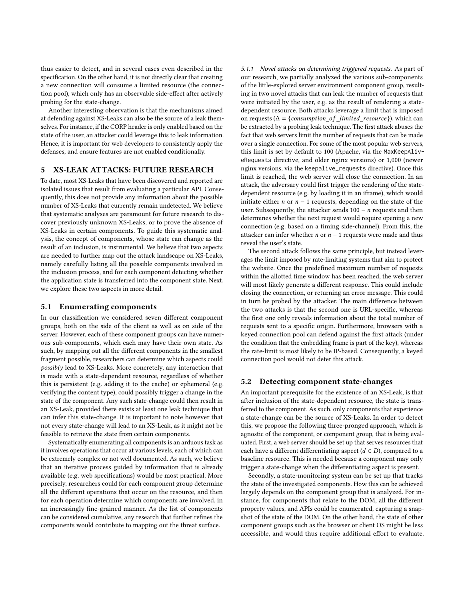thus easier to detect, and in several cases even described in the specification. On the other hand, it is not directly clear that creating a new connection will consume a limited resource (the connection pool), which only has an observable side-effect after actively probing for the state-change.

Another interesting observation is that the mechanisms aimed at defending against XS-Leaks can also be the source of a leak themselves. For instance, if the CORP header is only enabled based on the state of the user, an attacker could leverage this to leak information. Hence, it is important for web developers to consistently apply the defenses, and ensure features are not enabled conditionally.

# <span id="page-6-0"></span>5 XS-LEAK ATTACKS: FUTURE RESEARCH

To date, most XS-Leaks that have been discovered and reported are isolated issues that result from evaluating a particular API. Consequently, this does not provide any information about the possible number of XS-Leaks that currently remain undetected. We believe that systematic analyses are paramount for future research to discover previously unknown XS-Leaks, or to prove the absence of XS-Leaks in certain components. To guide this systematic analysis, the concept of components, whose state can change as the result of an inclusion, is instrumental. We believe that two aspects are needed to further map out the attack landscape on XS-Leaks, namely carefully listing all the possible components involved in the inclusion process, and for each component detecting whether the application state is transferred into the component state. Next, we explore these two aspects in more detail.

#### 5.1 Enumerating components

In our classification we considered seven different component groups, both on the side of the client as well as on side of the server. However, each of these component groups can have numerous sub-components, which each may have their own state. As such, by mapping out all the different components in the smallest fragment possible, researchers can determine which aspects could possibly lead to XS-Leaks. More concretely, any interaction that is made with a state-dependent resource, regardless of whether this is persistent (e.g. adding it to the cache) or ephemeral (e.g. verifying the content type), could possibly trigger a change in the state of the component. Any such state-change could then result in an XS-Leak, provided there exists at least one leak technique that can infer this state-change. It is important to note however that not every state-change will lead to an XS-Leak, as it might not be feasible to retrieve the state from certain components.

<span id="page-6-1"></span>Systematically enumerating all components is an arduous task as it involves operations that occur at various levels, each of which can be extremely complex or not well documented. As such, we believe that an iterative process guided by information that is already available (e.g. web specifications) would be most practical. More precisely, researchers could for each component group determine all the different operations that occur on the resource, and then for each operation determine which components are involved, in an increasingly fine-grained manner. As the list of components can be considered cumulative, any research that further refines the components would contribute to mapping out the threat surface.

5.1.1 Novel attacks on determining triggered requests. As part of our research, we partially analyzed the various sub-components of the little-explored server environment component group, resulting in two novel attacks that can leak the number of requests that were initiated by the user, e.g. as the result of rendering a statedependent resource. Both attacks leverage a limit that is imposed on requests ( $\Delta = \{consumption_of\_limited\_resource\}$ ), which can be extracted by a probing leak technique. The first attack abuses the fact that web servers limit the number of requests that can be made over a single connection. For some of the most popular web servers, this limit is set by default to 100 (Apache, via the MaxKeepAliveRequests directive, and older nginx versions) or 1,000 (newer nginx versions, via the keepalive\_requests directive). Once this limit is reached, the web server will close the connection. In an attack, the adversary could first trigger the rendering of the statedependent resource (e.g. by loading it in an iframe), which would initiate either *n* or  $n - 1$  requests, depending on the state of the user. Subsequently, the attacker sends  $100 - n$  requests and then determines whether the next request would require opening a new connection (e.g. based on a timing side-channel). From this, the attacker can infer whether  $n$  or  $n - 1$  requests were made and thus reveal the user's state.

The second attack follows the same principle, but instead leverages the limit imposed by rate-limiting systems that aim to protect the website. Once the predefined maximum number of requests within the allotted time window has been reached, the web server will most likely generate a different response. This could include closing the connection, or returning an error message. This could in turn be probed by the attacker. The main difference between the two attacks is that the second one is URL-specific, whereas the first one only reveals information about the total number of requests sent to a specific origin. Furthermore, browsers with a keyed connection pool can defend against the first attack (under the condition that the embedding frame is part of the key), whereas the rate-limit is most likely to be IP-based. Consequently, a keyed connection pool would not deter this attack.

#### 5.2 Detecting component state-changes

An important prerequisite for the existence of an XS-Leak, is that after inclusion of the state-dependent resource, the state is transferred to the component. As such, only components that experience a state-change can be the source of XS-Leaks. In order to detect this, we propose the following three-pronged approach, which is agnostic of the component, or component group, that is being evaluated. First, a web server should be set up that serves resources that each have a different differentiating aspect  $(d \in D)$ , compared to a baseline resource. This is needed because a component may only trigger a state-change when the differentiating aspect is present.

Secondly, a state-monitoring system can be set up that tracks the state of the investigated components. How this can be achieved largely depends on the component group that is analyzed. For instance, for components that relate to the DOM, all the different property values, and APIs could be enumerated, capturing a snapshot of the state of the DOM. On the other hand, the state of other component groups such as the browser or client OS might be less accessible, and would thus require additional effort to evaluate.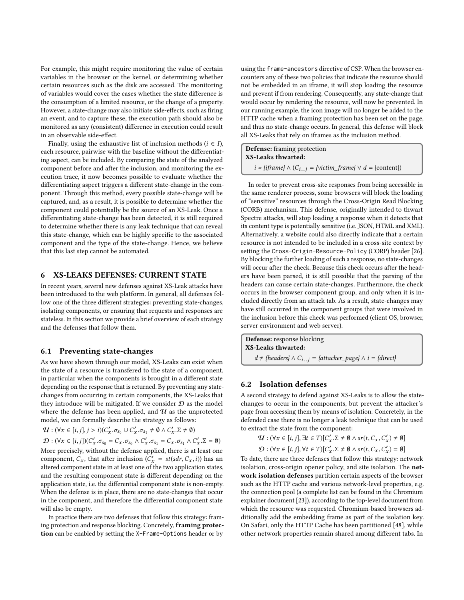For example, this might require monitoring the value of certain variables in the browser or the kernel, or determining whether certain resources such as the disk are accessed. The monitoring of variables would cover the cases whether the state difference is the consumption of a limited resource, or the change of a property. However, a state-change may also initiate side-effects, such as firing an event, and to capture these, the execution path should also be monitored as any (consistent) difference in execution could result in an observable side-effect.

Finally, using the exhaustive list of inclusion methods  $(i \in I)$ , each resource, pairwise with the baseline without the differentiating aspect, can be included. By comparing the state of the analyzed component before and after the inclusion, and monitoring the execution trace, it now becomes possible to evaluate whether the differentiating aspect triggers a different state-change in the component. Through this method, every possible state-change will be captured, and, as a result, it is possible to determine whether the component could potentially be the source of an XS-Leak. Once a differentiating state-change has been detected, it is still required to determine whether there is any leak technique that can reveal this state-change, which can be highly specific to the associated component and the type of the state-change. Hence, we believe that this last step cannot be automated.

# <span id="page-7-0"></span>6 XS-LEAKS DEFENSES: CURRENT STATE

In recent years, several new defenses against XS-Leak attacks have been introduced to the web platform. In general, all defenses follow one of the three different strategies: preventing state-changes, isolating components, or ensuring that requests and responses are stateless. In this section we provide a brief overview of each strategy and the defenses that follow them.

#### 6.1 Preventing state-changes

As we have shown through our model, XS-Leaks can exist when the state of a resource is transfered to the state of a component, in particular when the components is brought in a different state depending on the response that is returned. By preventing any statechanges from occurring in certain components, the XS-Leaks that they introduce will be mitigated. If we consider  $D$  as the model where the defense has been applied, and  $\mathcal U$  as the unprotected model, we can formally describe the strategy as follows:

$$
\mathcal{U}: (\forall x \in [i, j], j > i)(C'_x \cdot \sigma_{s_0} \cup C'_x \cdot \sigma_{s_1} \neq \emptyset \land C'_x \cdot \Sigma \neq \emptyset)
$$

 $\mathcal{D}: (\forall x \in [i, j])(C'_x \cdot \sigma_{s_0} = C_x \cdot \sigma_{s_0} \land C'_x \cdot \sigma_{s_1} = C_x \cdot \sigma_{s_1} \land C'_x \cdot \Sigma = \emptyset)$ More precisely, without the defense applied, there is at least one component,  $C_x$ , that after inclusion  $\overline{C_x'} = st(sdr, C_x, i)$  has an altered component state in at least one of the two application states altered component state in at least one of the two application states, and the resulting component state is different depending on the application state, i.e. the differential component state is non-empty. When the defense is in place, there are no state-changes that occur in the component, and therefore the differential component state will also be empty.

In practice there are two defenses that follow this strategy: framing protection and response blocking. Concretely, framing protection can be enabled by setting the X-Frame-Options header or by

using the frame-ancestors directive of CSP. When the browser encounters any of these two policies that indicate the resource should not be embedded in an iframe, it will stop loading the resource and prevent if from rendering. Consequently, any state-change that would occur by rendering the resource, will now be prevented. In our running example, the icon image will no longer be added to the HTTP cache when a framing protection has been set on the page, and thus no state-change occurs. In general, this defense will block all XS-Leaks that rely on iframes as the inclusion method.

Defense: framing protection XS-Leaks thwarted:  $i = \{if \text{frame}\} \wedge (C_{i..i}) = \{victim\_frame\} \vee d = \{content\})$ 

In order to prevent cross-site responses from being accessible in the same renderer process, some browsers will block the loading of "sensitive" resources through the Cross-Origin Read Blocking (CORB) mechanism. This defense, originally intended to thwart Spectre attacks, will stop loading a response when it detects that its content type is potentially sensitive (i.e. JSON, HTML and XML). Alternatively, a website could also directly indicate that a certain resource is not intended to be included in a cross-site context by setting the Cross-Origin-Resource-Policy (CORP) header [\[26\]](#page-11-20). By blocking the further loading of such a response, no state-changes will occur after the check. Because this check occurs after the headers have been parsed, it is still possible that the parsing of the headers can cause certain state-changes. Furthermore, the check occurs in the browser component group, and only when it is included directly from an attack tab. As a result, state-changes may have still occurred in the component groups that were involved in the inclusion before this check was performed (client OS, browser, server environment and web server).

Defense: response blocking XS-Leaks thwarted:  $d \neq$  {headers} ∧  $C_{i..j}$  = {attacker\_page} ∧ i = {direct}

# 6.2 Isolation defenses

A second strategy to defend against XS-Leaks is to allow the statechanges to occur in the components, but prevent the attacker's page from accessing them by means of isolation. Concretely, in the defended case there is no longer a leak technique that can be used to extract the state from the component:

$$
\mathcal{U}: (\forall x \in [i, j], \exists t \in T)[C'_x . \Sigma \neq \emptyset \land sr(t, C_x, C'_x) \neq \emptyset]
$$
  

$$
\mathcal{D}: (\forall x \in [i, j], \forall t \in T)[C'_x . \Sigma \neq \emptyset \land sr(t, C_x, C'_x) = \emptyset]
$$
  
To date, there are three defenses that follow this strategy: network

isolation, cross-origin opener policy, and site isolation. The network isolation defenses partition certain aspects of the browser such as the HTTP cache and various network-level properties, e.g. the connection pool (a complete list can be found in the Chromium explainer document [\[23\]](#page-11-21)), according to the top-level document from which the resource was requested. Chromium-based browsers additionally add the embedding frame as part of the isolation key. On Safari, only the HTTP Cache has been partitioned [\[48\]](#page-12-22), while other network properties remain shared among different tabs. In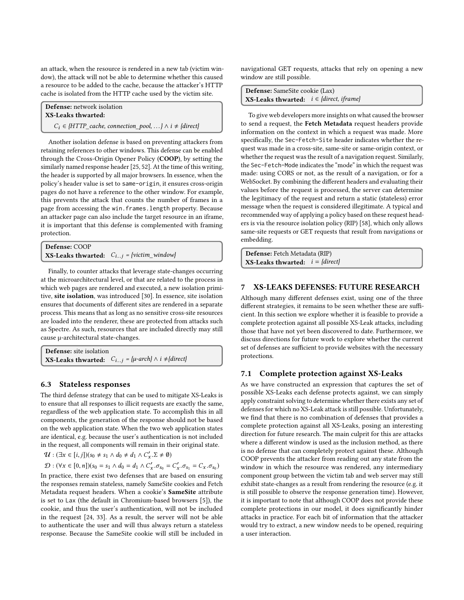an attack, when the resource is rendered in a new tab (victim window), the attack will not be able to determine whether this caused a resource to be added to the cache, because the attacker's HTTP cache is isolated from the HTTP cache used by the victim site.

Defense: network isolation XS-Leaks thwarted:

 $C_i \in \{HTTP\_cache, connection\_pool, ...\} \wedge i \neq \{direct\}$ 

Another isolation defense is based on preventing attackers from retaining references to other windows. This defense can be enabled through the Cross-Origin Opener Policy (COOP), by setting the similarly named response header [\[25,](#page-11-22) [52\]](#page-12-15). At the time of this writing, the header is supported by all major browsers. In essence, when the policy's header value is set to same-origin, it ensures cross-origin pages do not have a reference to the other window. For example, this prevents the attack that counts the number of frames in a page from accessing the win.frames.length property. Because an attacker page can also include the target resource in an iframe, it is important that this defense is complemented with framing protection.

```
Defense: COOP
XS-Leaks thwarted: C_{i..j} = \{victim\_window\}
```
Finally, to counter attacks that leverage state-changes occurring at the microarchitectural level, or that are related to the process in which web pages are rendered and executed, a new isolation primitive, site isolation, was introduced [\[30\]](#page-11-23). In essence, site isolation ensures that documents of different sites are rendered in a separate process. This means that as long as no sensitive cross-site resources are loaded into the renderer, these are protected from attacks such as Spectre. As such, resources that are included directly may still cause µ-architectural state-changes.

Defense: site isolation XS-Leaks thwarted:  $C_{i..j} = {\mu \text{-} arch} \wedge i \neq {\text{direct}}$ 

#### 6.3 Stateless responses

The third defense strategy that can be used to mitigate XS-Leaks is to ensure that all responses to illicit requests are exactly the same, regardless of the web application state. To accomplish this in all components, the generation of the response should not be based on the web application state. When the two web application states are identical, e.g. because the user's authentication is not included in the request, all components will remain in their original state.

 $\mathcal{U}: (\exists x \in [i, j])(s_0 \neq s_1 \land d_0 \neq d_1 \land C'_x \cdot \Sigma \neq \emptyset)$ 

 $D$  : (∀x ∈ [0, n])(s<sub>0</sub> = s<sub>1</sub> ∧ d<sub>0</sub> = d<sub>1</sub> ∧ C'<sub>x</sub> .σ<sub>s<sub>0</sub></sub> = C'<sub>x</sub> .σ<sub>s<sub>1</sub></sub> = C<sub>x</sub> .σ<sub>s<sub>0</sub></sub>)

In practice, there exist two defenses that are based on ensuring the responses remain stateless, namely SameSite cookies and Fetch Metadata request headers. When a cookie's SameSite attribute is set to Lax (the default in Chromium-based browsers [\[5\]](#page-11-24)), the cookie, and thus the user's authentication, will not be included in the request [\[24,](#page-11-25) [33\]](#page-11-26). As a result, the server will not be able to authenticate the user and will thus always return a stateless response. Because the SameSite cookie will still be included in navigational GET requests, attacks that rely on opening a new window are still possible.

| <b>Defense:</b> SameSite cookie (Lax)                         |  |
|---------------------------------------------------------------|--|
| <b>XS-Leaks thwarted:</b> $i \in \{direct, if \text{rame}\}\$ |  |
|                                                               |  |

To give web developers more insights on what caused the browser to send a request, the Fetch Metadata request headers provide information on the context in which a request was made. More specifically, the Sec-Fetch-Site header indicates whether the request was made in a cross-site, same-site or same-origin context, or whether the request was the result of a navigation request. Similarly, the Sec-Fetch-Mode indicates the "mode" in which the request was made: using CORS or not, as the result of a navigation, or for a WebSocket. By combining the different headers and evaluating their values before the request is processed, the server can determine the legitimacy of the request and return a static (stateless) error message when the request is considered illegitimate. A typical and recommended way of applying a policy based on these request headers is via the resource isolation policy (RIP) [\[58\]](#page-12-23), which only allows same-site requests or GET requests that result from navigations or embedding.

Defense: Fetch Metadata (RIP) **XS-Leaks thwarted:**  $i = \{direct\}$ 

# <span id="page-8-0"></span>7 XS-LEAKS DEFENSES: FUTURE RESEARCH

Although many different defenses exist, using one of the three different strategies, it remains to be seen whether these are sufficient. In this section we explore whether it is feasible to provide a complete protection against all possible XS-Leak attacks, including those that have not yet been discovered to date. Furthermore, we discuss directions for future work to explore whether the current set of defenses are sufficient to provide websites with the necessary protections.

# 7.1 Complete protection against XS-Leaks

As we have constructed an expression that captures the set of possible XS-Leaks each defense protects against, we can simply apply constraint solving to determine whether there exists any set of defenses for which no XS-Leak attack is still possible. Unfortunately, we find that there is no combination of defenses that provides a complete protection against all XS-Leaks, posing an interesting direction for future research. The main culprit for this are attacks where a different window is used as the inclusion method, as there is no defense that can completely protect against these. Although COOP prevents the attacker from reading out any state from the window in which the resource was rendered, any intermediary component group between the victim tab and web server may still exhibit state-changes as a result from rendering the resource (e.g. it is still possible to observe the response generation time). However, it is important to note that although COOP does not provide these complete protections in our model, it does significantly hinder attacks in practice. For each bit of information that the attacker would try to extract, a new window needs to be opened, requiring a user interaction.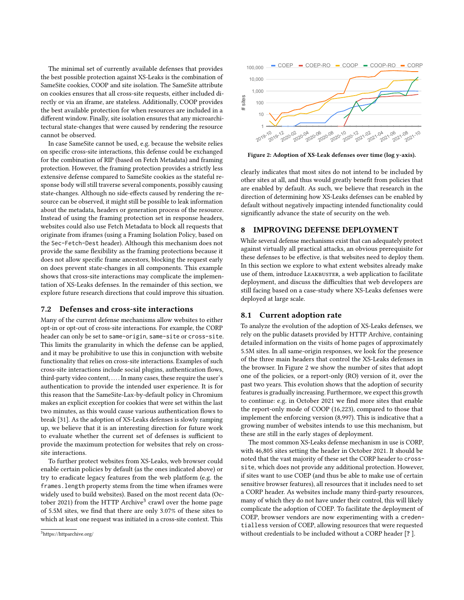The minimal set of currently available defenses that provides the best possible protection against XS-Leaks is the combination of SameSite cookies, COOP and site isolation. The SameSite attribute on cookies ensures that all cross-site requests, either included directly or via an iframe, are stateless. Additionally, COOP provides the best available protection for when resources are included in a different window. Finally, site isolation ensures that any microarchitectural state-changes that were caused by rendering the resource cannot be observed.

In case SameSite cannot be used, e.g. because the website relies on specific cross-site interactions, this defense could be exchanged for the combination of RIP (based on Fetch Metadata) and framing protection. However, the framing protection provides a strictly less extensive defense compared to SameSite cookies as the stateful response body will still traverse several components, possibly causing state-changes. Although no side-effects caused by rendering the resource can be observed, it might still be possible to leak information about the metadata, headers or generation process of the resource. Instead of using the framing protection set in response headers, websites could also use Fetch Metadata to block all requests that originate from iframes (using a Framing Isolation Policy, based on the Sec-Fetch-Dest header). Although this mechanism does not provide the same flexibility as the framing protections because it does not allow specific frame ancestors, blocking the request early on does prevent state-changes in all components. This example shows that cross-site interactions may complicate the implementation of XS-Leaks defenses. In the remainder of this section, we explore future research directions that could improve this situation.

#### <span id="page-9-2"></span>7.2 Defenses and cross-site interactions

Many of the current defense mechanisms allow websites to either opt-in or opt-out of cross-site interactions. For example, the CORP header can only be set to same-origin, same-site or cross-site. This limits the granularity in which the defense can be applied, and it may be prohibitive to use this in conjunction with website functionality that relies on cross-site interactions. Examples of such cross-site interactions include social plugins, authentication flows, third-party video content, . . . . In many cases, these require the user's authentication to provide the intended user experience. It is for this reason that the SameSite-Lax-by-default policy in Chromium makes an explicit exception for cookies that were set within the last two minutes, as this would cause various authentication flows to break [\[31\]](#page-11-27). As the adoption of XS-Leaks defenses is slowly ramping up, we believe that it is an interesting direction for future work to evaluate whether the current set of defenses is sufficient to provide the maximum protection for websites that rely on crosssite interactions.

To further protect websites from XS-Leaks, web browser could enable certain policies by default (as the ones indicated above) or try to eradicate legacy features from the web platform (e.g. the frames.length property stems from the time when iframes were widely used to build websites). Based on the most recent data (Oc-tober 2021) from the HTTP Archive<sup>[3](#page-9-0)</sup> crawl over the home page of 5.5M sites, we find that there are only 3.07% of these sites to which at least one request was initiated in a cross-site context. This

<span id="page-9-0"></span>

<span id="page-9-1"></span>

Figure 2: Adoption of XS-Leak defenses over time (log y-axis).

clearly indicates that most sites do not intend to be included by other sites at all, and thus would greatly benefit from policies that are enabled by default. As such, we believe that research in the direction of determining how XS-Leaks defenses can be enabled by default without negatively impacting intended functionality could significantly advance the state of security on the web.

## <span id="page-9-3"></span>8 IMPROVING DEFENSE DEPLOYMENT

While several defense mechanisms exist that can adequately protect against virtually all practical attacks, an obvious prerequisite for these defenses to be effective, is that websites need to deploy them. In this section we explore to what extent websites already make use of them, introduce LEAKBUSTER, a web application to facilitate deployment, and discuss the difficulties that web developers are still facing based on a case-study where XS-Leaks defenses were deployed at large scale.

#### 8.1 Current adoption rate

To analyze the evolution of the adoption of XS-Leaks defenses, we rely on the public datasets provided by HTTP Archive, containing detailed information on the visits of home pages of approximately 5.5M sites. In all same-origin responses, we look for the presence of the three main headers that control the XS-Leaks defenses in the browser. In Figure [2](#page-9-1) we show the number of sites that adopt one of the policies, or a report-only (RO) version of it, over the past two years. This evolution shows that the adoption of security features is gradually increasing. Furthermore, we expect this growth to continue: e.g. in October 2021 we find more sites that enable the report-only mode of COOP (16,223), compared to those that implement the enforcing version (8,997). This is indicative that a growing number of websites intends to use this mechanism, but these are still in the early stages of deployment.

The most common XS-Leaks defense mechanism in use is CORP, with 46,805 sites setting the header in October 2021. It should be noted that the vast majority of these set the CORP header to crosssite, which does not provide any additional protection. However, if sites want to use COEP (and thus be able to make use of certain sensitive browser features), all resources that it includes need to set a CORP header. As websites include many third-party resources, many of which they do not have under their control, this will likely complicate the adoption of COEP. To facilitate the deployment of COEP, browser vendors are now experimenting with a credentialless version of COEP, allowing resources that were requested without credentials to be included without a CORP header [? ].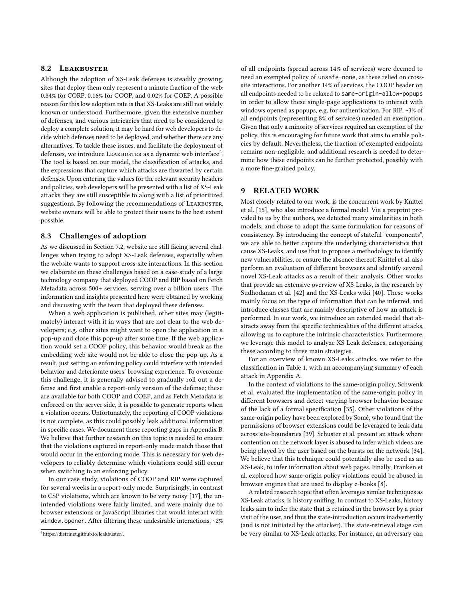# 8.2 LEAKBUSTER

Although the adoption of XS-Leak defenses is steadily growing, sites that deploy them only represent a minute fraction of the web: 0.84% for CORP, 0.16% for COOP, and 0.02% for COEP. A possible reason for this low adoption rate is that XS-Leaks are still not widely known or understood. Furthermore, given the extensive number of defenses, and various intricacies that need to be considered to deploy a complete solution, it may be hard for web developers to decide which defenses need to be deployed, and whether there are any alternatives. To tackle these issues, and facilitate the deployment of defenses, we introduce LEAKBUSTER as a dynamic web interface $^4$  $^4$ . The tool is based on our model, the classification of attacks, and the expressions that capture which attacks are thwarted by certain defenses. Upon entering the values for the relevant security headers and policies, web developers will be presented with a list of XS-Leak attacks they are still susceptible to along with a list of prioritized suggestions. By following the recommendations of LEAKBUSTER, website owners will be able to protect their users to the best extent possible.

#### 8.3 Challenges of adoption

As we discussed in Section [7.2,](#page-9-2) website are still facing several challenges when trying to adopt XS-Leak defenses, especially when the website wants to support cross-site interactions. In this section we elaborate on these challenges based on a case-study of a large technology company that deployed COOP and RIP based on Fetch Metadata across 500+ services, serving over a billion users. The information and insights presented here were obtained by working and discussing with the team that deployed these defenses.

When a web application is published, other sites may (legitimately) interact with it in ways that are not clear to the web developers; e.g. other sites might want to open the application in a pop-up and close this pop-up after some time. If the web application would set a COOP policy, this behavior would break as the embedding web site would not be able to close the pop-up. As a result, just setting an enforcing policy could interfere with intended behavior and deteriorate users' browsing experience. To overcome this challenge, it is generally advised to gradually roll out a defense and first enable a report-only version of the defense; these are available for both COOP and COEP, and as Fetch Metadata is enforced on the server side, it is possible to generate reports when a violation occurs. Unfortunately, the reporting of COOP violations is not complete, as this could possibly leak additional information in specific cases. We document these reporting gaps in Appendix [B.](#page-14-0) We believe that further research on this topic is needed to ensure that the violations captured in report-only mode match those that would occur in the enforcing mode. This is necessary for web developers to reliably determine which violations could still occur when switching to an enforcing policy.

In our case study, violations of COOP and RIP were captured for several weeks in a report-only mode. Surprisingly, in contrast to CSP violations, which are known to be very noisy [\[17\]](#page-11-28), the unintended violations were fairly limited, and were mainly due to browser extensions or JavaScript libraries that would interact with window.opener. After filtering these undesirable interactions, ~2%

of all endpoints (spread across 14% of services) were deemed to need an exempted policy of unsafe-none, as these relied on crosssite interactions. For another 14% of services, the COOP header on all endpoints needed to be relaxed to same-origin-allow-popups in order to allow these single-page applications to interact with windows opened as popups, e.g. for authentication. For RIP, ~3% of all endpoints (representing 8% of services) needed an exemption. Given that only a minority of services required an exemption of the policy, this is encouraging for future work that aims to enable policies by default. Nevertheless, the fraction of exempted endpoints remains non-negligible, and additional research is needed to determine how these endpoints can be further protected, possibly with a more fine-grained policy.

#### 9 RELATED WORK

Most closely related to our work, is the concurrent work by Knittel et al. [\[15\]](#page-11-5), who also introduce a formal model. Via a preprint provided to us by the authors, we detected many similarities in both models, and chose to adopt the same formulation for reasons of consistency. By introducing the concept of stateful "components", we are able to better capture the underlying characteristics that cause XS-Leaks, and use that to propose a methodology to identify new vulnerabilities, or ensure the absence thereof. Knittel et al. also perform an evaluation of different browsers and identify several novel XS-Leak attacks as a result of their analysis. Other works that provide an extensive overview of XS-Leaks, is the research by Sudhodanan et al. [\[42\]](#page-12-7) and the XS-Leaks wiki [\[40\]](#page-12-6). These works mainly focus on the type of information that can be inferred, and introduce classes that are mainly descriptive of how an attack is performed. In our work, we introduce an extended model that abstracts away from the specific technicalities of the different attacks, allowing us to capture the intrinsic characteristics. Furthermore, we leverage this model to analyze XS-Leak defenses, categorizing these according to three main strategies.

For an overview of known XS-Leaks attacks, we refer to the classification in Table [1,](#page-5-0) with an accompanying summary of each attack in Appendix [A.](#page-12-9)

In the context of violations to the same-origin policy, Schwenk et al. evaluated the implementation of the same-origin policy in different browsers and detect varying browser behavior because of the lack of a formal specification [\[35\]](#page-12-24). Other violations of the same-origin policy have been explored by Somé, who found that the permissions of browser extensions could be leveraged to leak data across site-boundaries [\[39\]](#page-12-25). Schuster et al. present an attack where contention on the network layer is abused to infer which videos are being played by the user based on the bursts on the network [\[34\]](#page-12-26). We believe that this technique could potentially also be used as an XS-Leak, to infer information about web pages. Finally, Franken et al. explored how same-origin policy violations could be abused in browser engines that are used to display e-books [\[8\]](#page-11-29).

A related research topic that often leverages similar techniques as XS-Leak attacks, is history sniffing. In contrast to XS-Leaks, history leaks aim to infer the state that is retained in the browser by a prior visit of the user, and thus the state-introduction occurs inadvertently (and is not initiated by the attacker). The state-retrieval stage can be very similar to XS-Leak attacks. For instance, an adversary can

<span id="page-10-0"></span><sup>4</sup>[https://distrinet.github.io/leakbuster/.](https://distrinet.github.io/leakbuster/)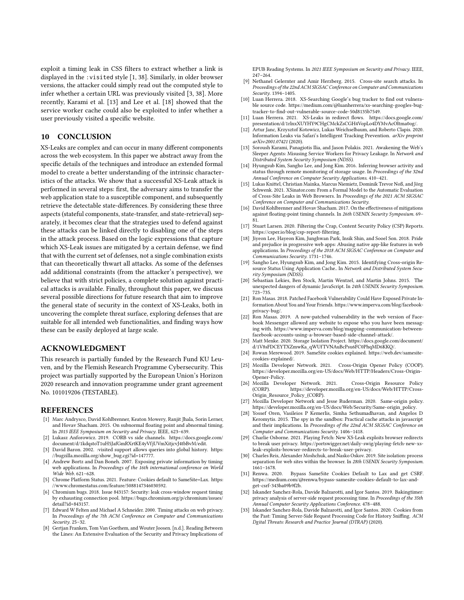exploit a timing leak in CSS filters to extract whether a link is displayed in the :visited style [\[1,](#page-11-8) [38\]](#page-12-8). Similarly, in older browser versions, the attacker could simply read out the computed style to infer whether a certain URL was previously visited [\[3,](#page-11-30) [38\]](#page-12-8). More recently, Karami et al. [\[13\]](#page-11-31) and Lee et al. [\[18\]](#page-11-32) showed that the service worker cache could also be exploited to infer whether a user previously visited a specific website.

# 10 CONCLUSION

XS-Leaks are complex and can occur in many different components across the web ecosystem. In this paper we abstract away from the specific details of the techniques and introduce an extended formal model to create a better understanding of the intrinsic characteristics of the attacks. We show that a successful XS-Leak attack is performed in several steps: first, the adversary aims to transfer the web application state to a susceptible component, and subsequently retrieve the detectable state-differences. By considering these three aspects (stateful components, state-transfer, and state-retrieval) separately, it becomes clear that the strategies used to defend against these attacks can be linked directly to disabling one of the steps in the attack process. Based on the logic expressions that capture which XS-Leak issues are mitigated by a certain defense, we find that with the current set of defenses, not a single combination exists that can theoretically thwart all attacks. As some of the defenses add additional constraints (from the attacker's perspective), we believe that with strict policies, a complete solution against practical attacks is available. Finally, throughout this paper, we discuss several possible directions for future research that aim to improve the general state of security in the context of XS-Leaks, both in uncovering the complete threat surface, exploring defenses that are suitable for all intended web functionalities, and finding ways how these can be easily deployed at large scale.

#### ACKNOWLEDGMENT

This research is partially funded by the Research Fund KU Leuven, and by the Flemish Research Programme Cybersecurity. This project was partially supported by the European Union's Horizon 2020 research and innovation programme under grant agreement No. 101019206 (TESTABLE).

#### **REFERENCES**

- <span id="page-11-8"></span>[1] Marc Andrysco, David Kohlbrenner, Keaton Mowery, Ranjit Jhala, Sorin Lerner, and Hovav Shacham. 2015. On subnormal floating point and abnormal timing. In 2015 IEEE Symposium on Security and Privacy. IEEE, 623–639.
- <span id="page-11-13"></span>[2] Lukasz Anforowicz. 2019. CORB vs side channels. [https://docs.google.com/](https://docs.google.com/document/d/1kdqstoT1uH5JafGmRXrtKE4yVfjUVmXitjcvJ4tbBvM/edit) [document/d/1kdqstoT1uH5JafGmRXrtKE4yVfjUVmXitjcvJ4tbBvM/edit.](https://docs.google.com/document/d/1kdqstoT1uH5JafGmRXrtKE4yVfjUVmXitjcvJ4tbBvM/edit)
- <span id="page-11-30"></span>[3] David Baron. 2002. :visited support allows queries into global history. [https:](https://bugzilla.mozilla.org/show_bug.cgi?id=147777) [//bugzilla.mozilla.org/show\\_bug.cgi?id=147777.](https://bugzilla.mozilla.org/show_bug.cgi?id=147777)
- <span id="page-11-6"></span>[4] Andrew Bortz and Dan Boneh. 2007. Exposing private information by timing web applications. In Proceedings of the 16th international conference on World Wide Web. 621–628.
- <span id="page-11-24"></span>[5] Chrome Platform Status. 2021. Feature: Cookies default to SameSite=Lax. [https:](https://www.chromestatus.com/feature/5088147346030592) [//www.chromestatus.com/feature/5088147346030592.](https://www.chromestatus.com/feature/5088147346030592)
- <span id="page-11-7"></span>[6] Chromium bugs. 2018. Issue 843157: Security: leak cross-window request timing by exhausting connection pool. [https://bugs.chromium.org/p/chromium/issues/](https://bugs.chromium.org/p/chromium/issues/detail?id=843157) [detail?id=843157.](https://bugs.chromium.org/p/chromium/issues/detail?id=843157)
- <span id="page-11-15"></span>[7] Edward W Felten and Michael A Schneider. 2000. Timing attacks on web privacy. In Proceedings of the 7th ACM Conference on Computer and Communications Security. 25–32.
- <span id="page-11-29"></span>[8] Gertjan Franken, Tom Van Goethem, and Wouter Joosen. [n.d.]. Reading Between the Lines: An Extensive Evaluation of the Security and Privacy Implications of

EPUB Reading Systems. In 2021 IEEE Symposium on Security and Privacy. IEEE, 247–264.

- <span id="page-11-3"></span>[9] Nethanel Gelernter and Amir Herzberg. 2015. Cross-site search attacks. In Proceedings of the 22nd ACM SIGSAC Conference on Computer and Communications Security. 1394–1405.
- <span id="page-11-2"></span>[10] Luan Herrera. 2018. XS-Searching Google's bug tracker to find out vulnerable source code. [https://medium.com/@luanherrera/xs-searching-googles-bug](https://medium.com/@luanherrera/xs-searching-googles-bug-tracker-to-find-out-vulnerable-source-code-50d8135b7549)[tracker-to-find-out-vulnerable-source-code-50d8135b7549.](https://medium.com/@luanherrera/xs-searching-googles-bug-tracker-to-find-out-vulnerable-source-code-50d8135b7549)
- <span id="page-11-10"></span>[11] Luan Herrera. 2021. XS-Leaks in redirect flows. [https://docs.google.com/](https://docs.google.com/presentation/d/1rlnxXUYHY9CHgCMckZsCGH4VopLo4DYMvAcOltma0og/) [presentation/d/1rlnxXUYHY9CHgCMckZsCGH4VopLo4DYMvAcOltma0og/.](https://docs.google.com/presentation/d/1rlnxXUYHY9CHgCMckZsCGH4VopLo4DYMvAcOltma0og/)
- <span id="page-11-16"></span>[12] Artur Janc, Krzysztof Kotowicz, Lukas Weichselbaum, and Roberto Clapis. 2020. Information Leaks via Safari's Intelligent Tracking Prevention. arXiv preprint arXiv:2001.07421 (2020).
- <span id="page-11-31"></span>[13] Soroush Karami, Panagiotis Ilia, and Jason Polakis. 2021. Awakening the Web's Sleeper Agents: Misusing Service Workers for Privacy Leakage. In Network and Distributed System Security Symposium (NDSS).
- <span id="page-11-14"></span>[14] Hyungsub Kim, Sangho Lee, and Jong Kim. 2016. Inferring browser activity and status through remote monitoring of storage usage. In Proceedings of the 32nd Annual Conference on Computer Security Applications. 410–421.
- <span id="page-11-5"></span>[15] Lukas Knittel, Christian Mainka, Marcus Niemietz, Dominik Trevor Noß, and Jörg Schwenk. 2021. XSinator.com: From a Formal Model to the Automatic Evaluation of Cross-Site Leaks in Web Browsers. In Proceedings of the 2021 ACM SIGSAC Conference on Computer and Communications Security.
- <span id="page-11-9"></span>[16] David Kohlbrenner and Hovav Shacham. 2017. On the effectiveness of mitigations against floating-point timing channels. In 26th USENIX Security Symposium. 69– 81.
- <span id="page-11-28"></span>[17] Stuart Larsen. 2020. Filtering the Crap, Content Security Policy (CSP) Reports. [https://csper.io/blog/csp-report-filtering.](https://csper.io/blog/csp-report-filtering)
- <span id="page-11-32"></span>[18] Jiyeon Lee, Hayeon Kim, Junghwan Park, Insik Shin, and Sooel Son. 2018. Pride and prejudice in progressive web apps: Abusing native app-like features in web applications. In Proceedings of the 2018 ACM SIGSAC Conference on Computer and Communications Security. 1731–1746.
- <span id="page-11-12"></span>[19] Sangho Lee, Hyungsub Kim, and Jong Kim. 2015. Identifying Cross-origin Resource Status Using Application Cache.. In Network and Distributed System Security Symposium (NDSS).
- <span id="page-11-19"></span>[20] Sebastian Lekies, Ben Stock, Martin Wentzel, and Martin Johns. 2015. The unexpected dangers of dynamic JavaScript. In 24th USENIX Security Symposium. 723–735.
- <span id="page-11-0"></span>[21] Ron Masas. 2018. Patched Facebook Vulnerability Could Have Exposed Private Information About You and Your Friends. [https://www.imperva.com/blog/facebook](https://www.imperva.com/blog/facebook-privacy-bug/)[privacy-bug/.](https://www.imperva.com/blog/facebook-privacy-bug/)
- <span id="page-11-1"></span>[22] Ron Masas. 2019. A now-patched vulnerability in the web version of Facebook Messenger allowed any website to expose who you have been messaging with. [https://www.imperva.com/blog/mapping-communication-between](https://www.imperva.com/blog/mapping-communication-between-facebook-accounts-using-a-browser-based-side-channel-attack/)[facebook-accounts-using-a-browser-based-side-channel-attack/.](https://www.imperva.com/blog/mapping-communication-between-facebook-accounts-using-a-browser-based-side-channel-attack/)
- <span id="page-11-21"></span>[23] Matt Menke. 2020. Storage Isolation Project. [https://docs.google.com/document/](https://docs.google.com/document/d/1V8sFDCEYTXZmwKa_qWUfTVNAuBcPsu6FC0PhqMD6KKQ/) [d/1V8sFDCEYTXZmwKa\\_qWUfTVNAuBcPsu6FC0PhqMD6KKQ/.](https://docs.google.com/document/d/1V8sFDCEYTXZmwKa_qWUfTVNAuBcPsu6FC0PhqMD6KKQ/)
- <span id="page-11-25"></span>[24] Rowan Merewood. 2019. SameSite cookies explained. [https://web.dev/samesite](https://web.dev/samesite-cookies-explained/)[cookies-explained/.](https://web.dev/samesite-cookies-explained/)
- <span id="page-11-22"></span>[25] Mozilla Developer Network. 2021. Cross-Origin Opener Policy (COOP). [https://developer.mozilla.org/en-US/docs/Web/HTTP/Headers/Cross-Origin-](https://developer.mozilla.org/en-US/docs/Web/HTTP/Headers/Cross-Origin-Opener-Policy)[Opener-Policy.](https://developer.mozilla.org/en-US/docs/Web/HTTP/Headers/Cross-Origin-Opener-Policy)
- <span id="page-11-20"></span>[26] Mozilla Developer Network. 2021. Cross-Origin Resource Policy (CORP). [https://developer.mozilla.org/en-US/docs/Web/HTTP/Cross-](https://developer.mozilla.org/en-US/docs/Web/HTTP/Cross-Origin_Resource_Policy_(CORP))[Origin\\_Resource\\_Policy\\_\(CORP\).](https://developer.mozilla.org/en-US/docs/Web/HTTP/Cross-Origin_Resource_Policy_(CORP))
- <span id="page-11-4"></span>[27] Mozilla Developer Network and Jesse Ruderman. 2020. Same-origin policy. [https://developer.mozilla.org/en-US/docs/Web/Security/Same-origin\\_policy.](https://developer.mozilla.org/en-US/docs/Web/Security/Same-origin_policy)
- <span id="page-11-17"></span>[28] Yossef Oren, Vasileios P Kemerlis, Simha Sethumadhavan, and Angelos D Keromytis. 2015. The spy in the sandbox: Practical cache attacks in javascript and their implications. In Proceedings of the 22nd ACM SIGSAC Conference on Computer and Communications Security. 1406–1418.
- <span id="page-11-11"></span>[29] Charlie Osborne. 2021. Playing Fetch: New XS-Leak exploits browser redirects to break user privacy. [https://portswigger.net/daily-swig/playing-fetch-new-xs](https://portswigger.net/daily-swig/playing-fetch-new-xs-leak-exploits-browser-redirects-to-break-user-privacy)[leak-exploits-browser-redirects-to-break-user-privacy.](https://portswigger.net/daily-swig/playing-fetch-new-xs-leak-exploits-browser-redirects-to-break-user-privacy)
- <span id="page-11-23"></span>[30] Charles Reis, Alexander Moshchuk, and Nasko Oskov. 2019. Site isolation: process separation for web sites within the browser. In 28th USENIX Security Symposium. 1661-1678.<br>[31] Renwa. 2020.
- <span id="page-11-27"></span>Bypass SameSite Cookies Default to Lax and get CSRF. [https://medium.com/@renwa/bypass-samesite-cookies-default-to-lax-and](https://medium.com/@renwa/bypass-samesite-cookies-default-to-lax-and-get-csrf-343ba09b9f2b)[get-csrf-343ba09b9f2b.](https://medium.com/@renwa/bypass-samesite-cookies-default-to-lax-and-get-csrf-343ba09b9f2b)
- <span id="page-11-18"></span>[32] Iskander Sanchez-Rola, Davide Balzarotti, and Igor Santos. 2019. Bakingtimer: privacy analysis of server-side request processing time. In Proceedings of the 35th Annual Computer Security Applications Conference. 478–488.
- <span id="page-11-26"></span>[33] Iskander Sanchez-Rola, Davide Balzarotti, and Igor Santos. 2020. Cookies from the Past: Timing Server-Side Request Processing Code for History Sniffing. ACM Dgital Threats: Research and Practice Journal (DTRAP) (2020).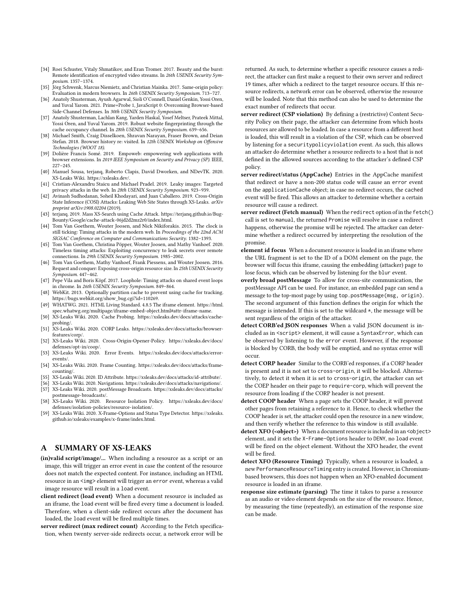- <span id="page-12-26"></span>[34] Roei Schuster, Vitaly Shmatikov, and Eran Tromer. 2017. Beauty and the burst: Remote identification of encrypted video streams. In 26th USENIX Security Symposium. 1357–1374.
- <span id="page-12-24"></span>[35] Jörg Schwenk, Marcus Niemietz, and Christian Mainka. 2017. Same-origin policy: Evaluation in modern browsers. In 26th USENIX Security Symposium. 713–727.
- <span id="page-12-19"></span>[36] Anatoly Shusterman, Ayush Agarwal, Sioli O'Connell, Daniel Genkin, Yossi Oren, and Yuval Yarom. 2021. Prime+Probe 1, JavaScript 0: Overcoming Browser-based Side-Channel Defenses. In 30th USENIX Security Symposium.
- <span id="page-12-18"></span>[37] Anatoly Shusterman, Lachlan Kang, Yarden Haskal, Yosef Meltser, Prateek Mittal, Yossi Oren, and Yuval Yarom. 2019. Robust website fingerprinting through the cache occupancy channel. In 28th USENIX Security Symposium. 639–656.
- <span id="page-12-8"></span>[38] Michael Smith, Craig Disselkoen, Shravan Narayan, Fraser Brown, and Deian Stefan. 2018. Browser history re: visited. In 12th USENIX Workshop on Offensive Technologies (WOOT 18).
- <span id="page-12-25"></span>[39] Dolière Francis Somé. 2019. Empoweb: empowering web applications with browser extensions. In 2019 IEEE Symposium on Security and Privacy (SP). IEEE, 227–245.
- <span id="page-12-6"></span>[40] Manuel Sousa, terjanq, Roberto Clapis, David Dworken, and NDevTK. 2020. XS-Leaks Wiki. [https://xsleaks.dev/.](https://xsleaks.dev/)
- <span id="page-12-0"></span>[41] Cristian-Alexandru Staicu and Michael Pradel. 2019. Leaky images: Targeted privacy attacks in the web. In 28th USENIX Security Symposium. 923-939.
- <span id="page-12-7"></span>[42] Avinash Sudhodanan, Soheil Khodayari, and Juan Caballero. 2019. Cross-Origin State Inference (COSI) Attacks: Leaking Web Site States through XS-Leaks. arXiv preprint arXiv:1908.02204 (2019).
- <span id="page-12-3"></span>[43] terjanq. 2019. Mass XS-Search using Cache Attack. [https://terjanq.github.io/Bug-](https://terjanq.github.io/Bug-Bounty/Google/cache-attack-06jd2d2mz2r0/index.html)[Bounty/Google/cache-attack-06jd2d2mz2r0/index.html.](https://terjanq.github.io/Bug-Bounty/Google/cache-attack-06jd2d2mz2r0/index.html)
- <span id="page-12-1"></span>[44] Tom Van Goethem, Wouter Joosen, and Nick Nikiforakis. 2015. The clock is still ticking: Timing attacks in the modern web. In Proceedings of the 22nd ACM SIGSAC Conference on Computer and Communications Security. 1382–1393.
- <span id="page-12-2"></span>[45] Tom Van Goethem, Christina Pöpper, Wouter Joosen, and Mathy Vanhoef, 2020. Timeless timing attacks: Exploiting concurrency to leak secrets over remote connections. In 29th USENIX Security Symposium. 1985-2002.
- <span id="page-12-5"></span>[46] Tom Van Goethem, Mathy Vanhoef, Frank Piessens, and Wouter Joosen. 2016. Request and conquer: Exposing cross-origin resource size. In 25th USENIX Security Symposium. 447–462.
- <span id="page-12-17"></span>[47] Pepe Vila and Boris Köpf. 2017. Loophole: Timing attacks on shared event loops in chrome. In 26th USENIX Security Symposium. 849–864.
- <span id="page-12-22"></span>[48] WebKit. 2013. Optionally partition cache to prevent using cache for tracking. [https://bugs.webkit.org/show\\_bug.cgi?id=110269.](https://bugs.webkit.org/show_bug.cgi?id=110269)
- <span id="page-12-21"></span>[49] WHATWG. 2021. HTML Living Standard. 4.8.5 The iframe element. [https://html.](https://html.spec.whatwg.org/multipage/iframe-embed-object.html#attr-iframe-name) [spec.whatwg.org/multipage/iframe-embed-object.html#attr-iframe-name.](https://html.spec.whatwg.org/multipage/iframe-embed-object.html#attr-iframe-name)
- <span id="page-12-4"></span>[50] XS-Leaks Wiki. 2020. Cache Probing. [https://xsleaks.dev/docs/attacks/cache](https://xsleaks.dev/docs/attacks/cache-probing/)[probing/.](https://xsleaks.dev/docs/attacks/cache-probing/)
- <span id="page-12-14"></span>[51] XS-Leaks Wiki. 2020. CORP Leaks. [https://xsleaks.dev/docs/attacks/browser](https://xsleaks.dev/docs/attacks/browser-features/corp/)[features/corp/.](https://xsleaks.dev/docs/attacks/browser-features/corp/)
- <span id="page-12-15"></span>[52] XS-Leaks Wiki. 2020. Cross-Origin-Opener-Policy. [https://xsleaks.dev/docs/](https://xsleaks.dev/docs/defenses/opt-in/coop/) [defenses/opt-in/coop/.](https://xsleaks.dev/docs/defenses/opt-in/coop/)
- <span id="page-12-10"></span>[53] XS-Leaks Wiki. 2020. Error Events. [https://xsleaks.dev/docs/attacks/error](https://xsleaks.dev/docs/attacks/error-events/)[events/.](https://xsleaks.dev/docs/attacks/error-events/)
- <span id="page-12-20"></span>[54] XS-Leaks Wiki. 2020. Frame Counting. [https://xsleaks.dev/docs/attacks/frame](https://xsleaks.dev/docs/attacks/frame-counting/)[counting/.](https://xsleaks.dev/docs/attacks/frame-counting/)
- <span id="page-12-12"></span>[55] XS-Leaks Wiki. 2020. ID Attribute. [https://xsleaks.dev/docs/attacks/id-attribute/.](https://xsleaks.dev/docs/attacks/id-attribute/)
- <span id="page-12-13"></span><span id="page-12-11"></span>[56] XS-Leaks Wiki. 2020. Navigations. [https://xsleaks.dev/docs/attacks/navigations/.](https://xsleaks.dev/docs/attacks/navigations/) [57] XS-Leaks Wiki. 2020. postMessage Broadcasts. [https://xsleaks.dev/docs/attacks/](https://xsleaks.dev/docs/attacks/postmessage-broadcasts/) [postmessage-broadcasts/.](https://xsleaks.dev/docs/attacks/postmessage-broadcasts/)
- <span id="page-12-23"></span>[58] XS-Leaks Wiki. 2020. Resource Isolation Policy. [https://xsleaks.dev/docs/](https://xsleaks.dev/docs/defenses/isolation-policies/resource-isolation/) [defenses/isolation-policies/resource-isolation/.](https://xsleaks.dev/docs/defenses/isolation-policies/resource-isolation/)
- <span id="page-12-16"></span>[59] XS-Leaks Wiki. 2020. X-Frame-Options and Status Type Detector. [https://xsleaks.](https://xsleaks.github.io/xsleaks/examples/x-frame/index.html) [github.io/xsleaks/examples/x-frame/index.html.](https://xsleaks.github.io/xsleaks/examples/x-frame/index.html)

# <span id="page-12-9"></span>A SUMMARY OF XS-LEAKS

- (in)valid script/image/... When including a resource as a script or an image, this will trigger an error event in case the content of the resource does not match the expected content. For instance, including an HTML resource in an <img> element will trigger an error event, whereas a valid image resource will result in a load event.
- client redirect (load event) When a document resource is included as an iframe, the load event will be fired every time a document is loaded. Therefore, when a client-side redirect occurs after the document has loaded, the load event will be fired multiple times.
- server redirect (max redirect count) According to the Fetch specification, when twenty server-side redirects occur, a network error will be

returned. As such, to determine whether a specific resource causes a redirect, the attacker can first make a request to their own server and redirect 19 times, after which a redirect to the target resource occurs. If this resource redirects, a network error can be observed, otherwise the resource will be loaded. Note that this method can also be used to determine the exact number of redirects that occur.

- server redirect (CSP violation) By defining a (restrictive) Content Security Policy on their page, the attacker can determine from which hosts resources are allowed to be loaded. In case a resource from a different host is loaded, this will result in a violation of the CSP, which can be observed by listening for a securitypolicyviolation event. As such, this allows an attacker do determine whether a resource redirects to a host that is not defined in the allowed sources according to the attacker's defined CSP policy.
- server redirect/status (AppCache) Entries in the AppCache manifest that redirect or have a non-200 status code will cause an error event on the applicationCache object; in case no redirect occurs, the cached event will be fired. This allows an attacker to determine whether a certain resource will cause a redirect.
- server redirect (Fetch manual) When the redirect option of in the fetch() call is set to manual, the returned Promise will resolve in case a redirect happens, otherwise the promise will be rejected. The attacker can determine whether a redirect occurred by interpreting the resolution of the promise.
- element id focus When a document resource is loaded in an iframe where the URL fragment is set to the ID of a DOM element on the page, the browser will focus this iframe, causing the embedding (attacker) page to lose focus, which can be observed by listening for the blur event.
- overly broad postMessage To allow for cross-site communication, the postMessage API can be used. For instance, an embedded page can send a message to the top-most page by using top.postMessage(msg, origin). The second argument of this function defines the origin for which the message is intended. If this is set to the wildcard \*, the message will be sent regardless of the origin of the attacker.
- detect CORB'ed JSON responses When a valid JSON document is included as in <script> element, it will cause a SyntaxError, which can be observed by listening to the error event. However, if the response is blocked by CORB, the body will be emptied, and no syntax error will occur.
- detect CORP header Similar to the CORB'ed responses, if a CORP header is present and it is not set to cross-origin, it will be blocked. Alternatively, to detect it when it is set to cross-origin, the attacker can set the COEP header on their page to require-corp, which will prevent the resource from loading if the CORP header is not present.
- detect COOP header When a page sets the COOP header, it will prevent other pages from retaining a reference to it. Hence, to check whether the COOP header is set, the attacker could open the resource in a new window, and then verify whether the reference to this window is still available.
- detect XFO (<object>) When a document resource is included in an <object> element, and it sets the X-Frame-Options header to DENY, no load event will be fired on the object element. Without the XFO header, the event will be fired.
- detect XFO (Resource Timing) Typically, when a resource is loaded, a new PerformanceResourceTiming entry is created. However, in Chromiumbased browsers, this does not happen when an XFO-enabled document resource is loaded in an iframe.
- response size estimate (parsing) The time it takes to parse a resource as an audio or video element depends on the size of the resource. Hence, by measuring the time (repeatedly), an estimation of the response size can be made.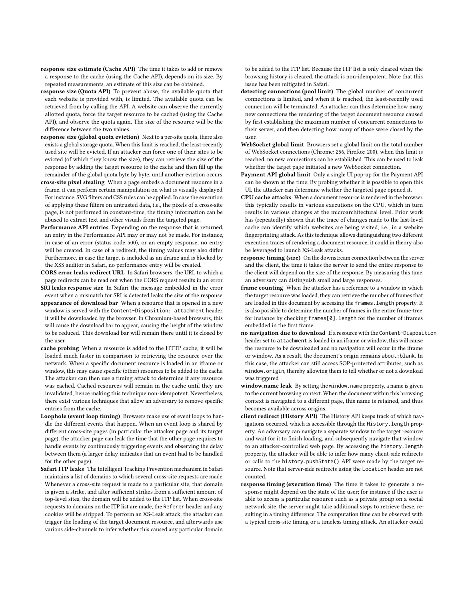response size estimate (Cache API) The time it takes to add or remove a response to the cache (using the Cache API), depends on its size. By repeated measurements, an estimate of this size can be obtained.

- response size (Quota API) To prevent abuse, the available quota that each website is provided with, is limited. The available quota can be retrieved from by calling the API. A website can observe the currently allotted quota, force the target resource to be cached (using the Cache API), and observe the quota again. The size of the resource will be the difference between the two values.
- response size (global quota eviction) Next to a per-site quota, there also exists a global storage quota. When this limit is reached, the least-recently used site will be evicted. If an attacker can force one of their sites to be evicted (of which they know the size), they can retrieve the size of the response by adding the target resource to the cache and then fill up the remainder of the global quota byte by byte, until another eviction occurs.
- cross-site pixel stealing When a page embeds a document resource in a frame, it can perform certain manipulation on what is visually displayed. For instance, SVG filters and CSS rules can be applied. In case the execution of applying these filters on untrusted data, i.e., the pixels of a cross-site page, is not performed in constant-time, the timing information can be abused to extract text and other visuals from the targeted page.
- Performance API entries Depending on the response that is returned, an entry in the Performance API may or may not be made. For instance, in case of an error (status code 500), or an empty response, no entry will be created. In case of a redirect, the timing values may also differ. Furthermore, in case the target is included as an iframe and is blocked by the XSS auditor in Safari, no performance entry will be created.
- CORS error leaks redirect URL In Safari browsers, the URL to which a page redirects can be read out when the CORS request results in an error.
- SRI leaks response size In Safari the message embedded in the error event when a mismatch for SRI is detected leaks the size of the response. appearance of download bar When a resource that is opened in a new
- window is served with the Content-Disposition: attachment header, it will be downloaded by the browser. In Chromium-based browsers, this will cause the download bar to appear, causing the height of the window to be reduced. This download bar will remain there until it is closed by the user.
- cache probing When a resource is added to the HTTP cache, it will be loaded much faster in comparison to retrieving the resource over the network. When a specific document resource is loaded in an iframe or window, this may cause specific (other) resources to be added to the cache. The attacker can then use a timing attack to determine if any resource was cached. Cached resources will remain in the cache until they are invalidated, hence making this technique non-idempotent. Nevertheless, there exist various techniques that allow an adversary to remove specific entries from the cache.
- Loophole (event loop timing) Browsers make use of event loops to handle the different events that happen. When an event loop is shared by different cross-site pages (in particular the attacker page and its target page), the attacker page can leak the time that the other page requires to handle events by continuously triggering events and observing the delay between them (a larger delay indicates that an event had to be handled for the other page).
- Safari ITP leaks The Intelligent Tracking Prevention mechanism in Safari maintains a list of domains to which several cross-site requests are made. Whenever a cross-site request is made to a particular site, that domain is given a strike, and after sufficient strikes from a sufficient amount of top-level sites, the domain will be added to the ITP list. When cross-site requests to domains on the ITP list are made, the Referer header and any cookies will be stripped. To perform an XS-Leak attack, the attacker can trigger the loading of the target document resource, and afterwards use various side-channels to infer whether this caused any particular domain

to be added to the ITP list. Because the ITP list is only cleared when the browsing history is cleared, the attack is non-idempotent. Note that this issue has been mitigated in Safari.

- detecting connections (pool limit) The global number of concurrent connections is limited, and when it is reached, the least-recently used connection will be terminated. An attacker can thus determine how many new connections the rendering of the target document resource caused by first establishing the maximum number of concurrent connections to their server, and then detecting how many of those were closed by the user.
- WebSocket global limit Browsers set a global limit on the total number of WebSocket connections (Chrome: 256, Firefox: 200), when this limit is reached, no new connections can be established. This can be used to leak whether the target page initiated a new WebSocket connection.
- Payment API global limit Only a single UI pop-up for the Payment API can be shown at the time. By probing whether it is possible to open this UI, the attacker can determine whether the targeted page opened it.
- CPU cache attacks When a document resource is rendered in the browser, this typically results in various executions on the CPU, which in turn results in various changes at the microarchitectural level. Prior work has (repeatedly) shown that the trace of changes made to the last-level cache can identify which websites are being visited, i.e., in a website fingerprinting attack. As this technique allows distinguishing two different execution traces of rendering a document resource, it could in theory also be leveraged to launch XS-Leak attacks.
- response timing (size) On the downstream connection between the server and the client, the time it takes the server to send the entire response to the client will depend on the size of the response. By measuring this time, an adversary can distinguish small and large responses.
- frame counting When the attacker has a reference to a window in which the target resource was loaded, they can retrieve the number of frames that are loaded in this document by accessing the frames.length property. It is also possible to determine the number of frames in the entire frame-tree, for instance by checking frames[0].length for the number of iframes embedded in the first frame.
- no navigation due to download If a resource with the Content-Disposition header set to attachment is loaded in an iframe or window, this will cause the resource to be downloaded and no navigation will occur in the iframe or window. As a result, the document's origin remains about:blank. In this case, the attacker can still access SOP-protected attributes, such as window.origin, thereby allowing them to tell whether or not a download was triggered
- window.name leak By setting the window.name property, a name is given to the current browsing context. When the document within this browsing context is navigated to a different page, this name is retained, and thus becomes available across origins.
- client redirect (History API) The History API keeps track of which navigations occurred, which is accessible through the History.length property. An adversary can navigate a separate window to the target resource and wait for it to finish loading, and subsequently navigate that window to an attacker-controlled web page. By accessing the history.length property, the attacker will be able to infer how many client-side redirects or calls to the history.pushState() API were made by the target resource. Note that server-side redirects using the Location header are not counted.
- response timing (execution time) The time it takes to generate a response might depend on the state of the user; for instance if the user is able to access a particular resource such as a private group on a social network site, the server might take additional steps to retrieve these, resulting in a timing difference. The computation time can be observed with a typical cross-site timing or a timeless timing attack. An attacker could